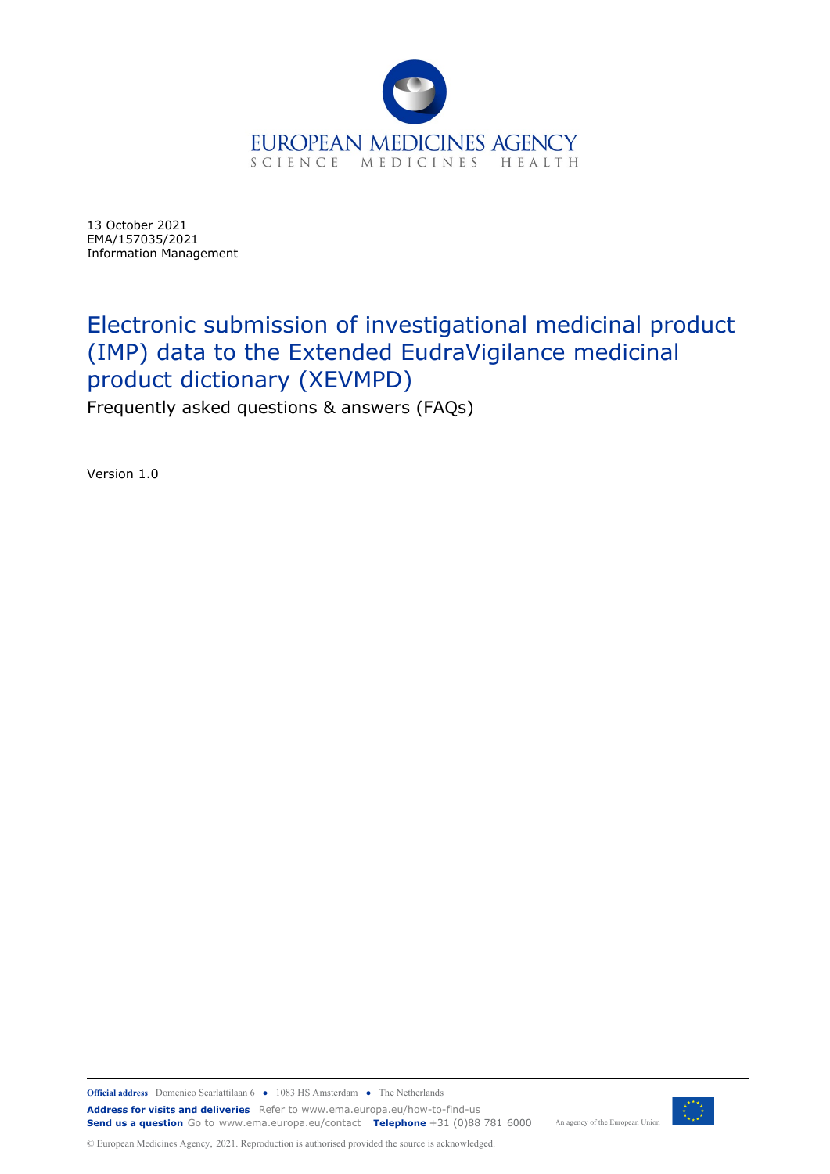

13 October 2021 EMA/157035/2021 Information Management

# Electronic submission of investigational medicinal product (IMP) data to the Extended EudraVigilance medicinal product dictionary (XEVMPD) Frequently asked questions & answers (FAQs)

Version 1.0



An agency of the European Union

© European Medicines Agency, 2021. Reproduction is authorised provided the source is acknowledged.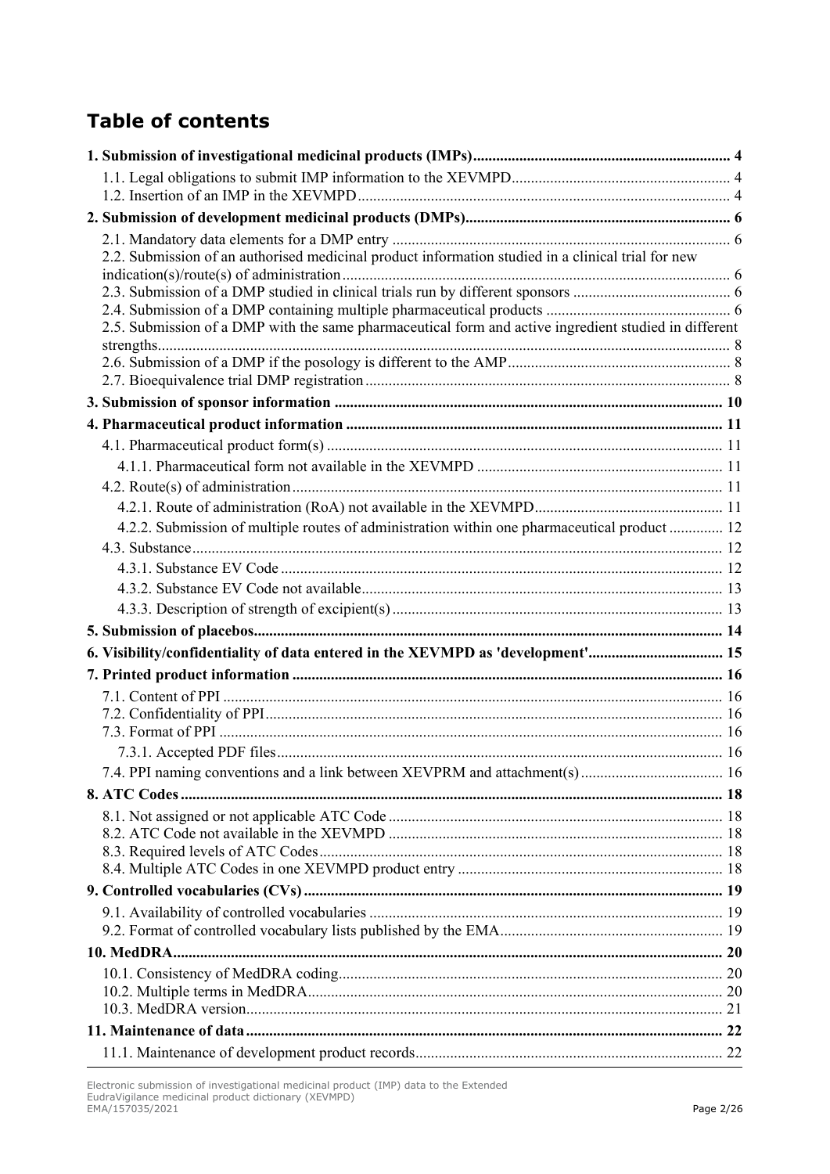# **Table of contents**

| 2.2. Submission of an authorised medicinal product information studied in a clinical trial for new    |  |
|-------------------------------------------------------------------------------------------------------|--|
|                                                                                                       |  |
|                                                                                                       |  |
| 2.5. Submission of a DMP with the same pharmaceutical form and active ingredient studied in different |  |
|                                                                                                       |  |
|                                                                                                       |  |
|                                                                                                       |  |
|                                                                                                       |  |
|                                                                                                       |  |
|                                                                                                       |  |
|                                                                                                       |  |
|                                                                                                       |  |
|                                                                                                       |  |
| 4.2.2. Submission of multiple routes of administration within one pharmaceutical product  12          |  |
|                                                                                                       |  |
|                                                                                                       |  |
|                                                                                                       |  |
|                                                                                                       |  |
|                                                                                                       |  |
| 6. Visibility/confidentiality of data entered in the XEVMPD as 'development' 15                       |  |
|                                                                                                       |  |
|                                                                                                       |  |
|                                                                                                       |  |
|                                                                                                       |  |
|                                                                                                       |  |
|                                                                                                       |  |
|                                                                                                       |  |
|                                                                                                       |  |
|                                                                                                       |  |
|                                                                                                       |  |
|                                                                                                       |  |
|                                                                                                       |  |
|                                                                                                       |  |
|                                                                                                       |  |
|                                                                                                       |  |
|                                                                                                       |  |
|                                                                                                       |  |
|                                                                                                       |  |
|                                                                                                       |  |
|                                                                                                       |  |

Electronic submission of investigational medicinal product (IMP) data to the Extended EudraVigilance medicinal product dictionary (XEVMPD) EMA/157035/2021 Page 2/26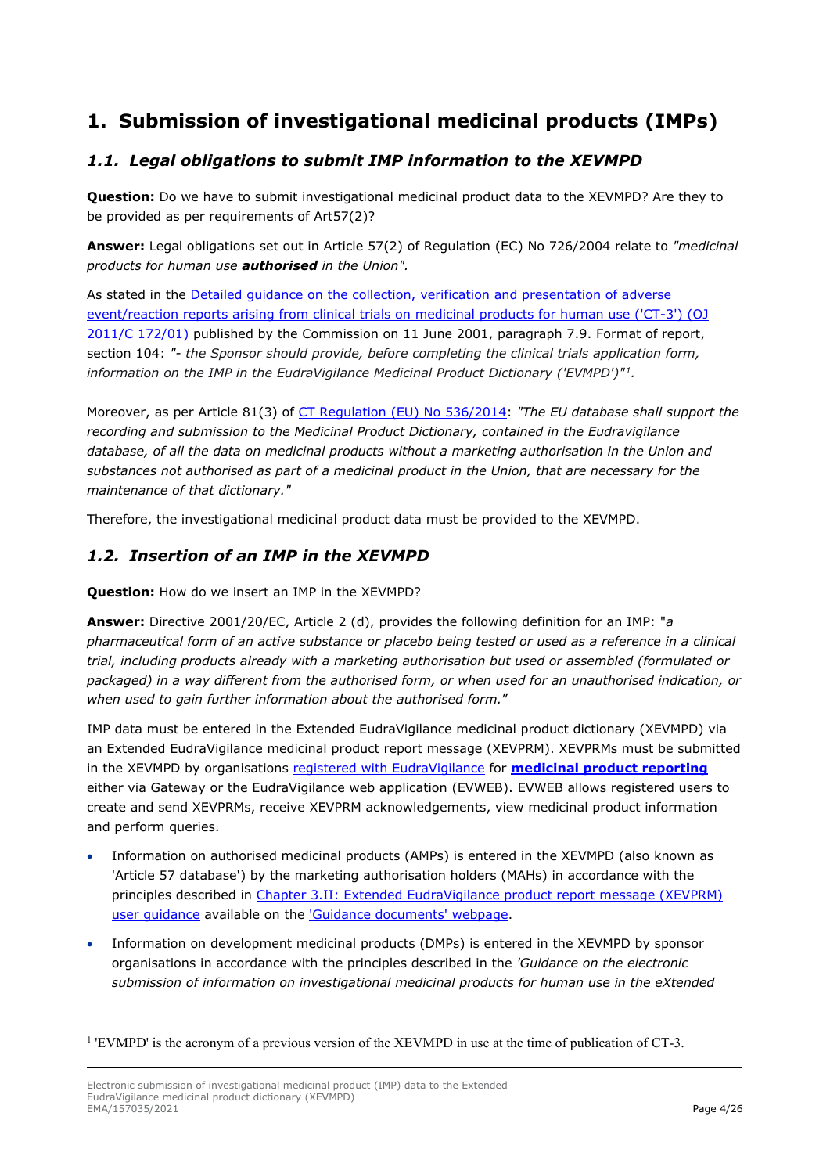# <span id="page-3-0"></span>**1. Submission of investigational medicinal products (IMPs)**

### <span id="page-3-1"></span>*1.1. Legal obligations to submit IMP information to the XEVMPD*

**Question:** Do we have to submit investigational medicinal product data to the XEVMPD? Are they to be provided as per requirements of Art57(2)?

**Answer:** Legal obligations set out in Article 57(2) of Regulation (EC) No 726/2004 relate to *"medicinal products for human use authorised in the Union".*

As stated in the [Detailed guidance on the collection, verification and presentation of adverse](https://eur-lex.europa.eu/LexUriServ/LexUriServ.do?uri=OJ:C:2011:172:0001:0013:EN:PDF)  [event/reaction reports arising from clinical trials on medicinal products for human use \('CT-3'\) \(OJ](https://eur-lex.europa.eu/LexUriServ/LexUriServ.do?uri=OJ:C:2011:172:0001:0013:EN:PDF)  [2011/C 172/01\)](https://eur-lex.europa.eu/LexUriServ/LexUriServ.do?uri=OJ:C:2011:172:0001:0013:EN:PDF) published by the Commission on 11 June 2001, paragraph 7.9. Format of report, section 104: *"- the Sponsor should provide, before completing the clinical trials application form, information on the IMP in the EudraVigilance Medicinal Product Dictionary ('EVMPD')"[1.](#page-3-3)*

Moreover, as per Article 81(3) of [CT Regulation \(EU\) No 536/2014:](https://eur-lex.europa.eu/legal-content/EN/TXT/PDF/?uri=CELEX:32014R0536&from=EN) *"The EU database shall support the recording and submission to the Medicinal Product Dictionary, contained in the Eudravigilance database, of all the data on medicinal products without a marketing authorisation in the Union and substances not authorised as part of a medicinal product in the Union, that are necessary for the maintenance of that dictionary."*

Therefore, the investigational medicinal product data must be provided to the XEVMPD.

#### <span id="page-3-2"></span>*1.2. Insertion of an IMP in the XEVMPD*

**Question:** How do we insert an IMP in the XEVMPD?

**Answer:** Directive 2001/20/EC, Article 2 (d), provides the following definition for an IMP: "*a pharmaceutical form of an active substance or placebo being tested or used as a reference in a clinical trial, including products already with a marketing authorisation but used or assembled (formulated or packaged) in a way different from the authorised form, or when used for an unauthorised indication, or when used to gain further information about the authorised form.*"

IMP data must be entered in the Extended EudraVigilance medicinal product dictionary (XEVMPD) via an Extended EudraVigilance medicinal product report message (XEVPRM). XEVPRMs must be submitted in the XEVMPD by organisations [registered with EudraVigilance](https://www.ema.europa.eu/en/human-regulatory/research-development/pharmacovigilance/eudravigilance/eudravigilance-how-register) for **[medicinal product reporting](https://www.ema.europa.eu/en/human-regulatory/research-development/pharmacovigilance/eudravigilance/eudravigilance-electronic-reporting#preparing-for-the-electronic-exchange-of-product-reports-section)** either via Gateway or the EudraVigilance web application (EVWEB). EVWEB allows registered users to create and send XEVPRMs, receive XEVPRM acknowledgements, view medicinal product information and perform queries.

- Information on authorised medicinal products (AMPs) is entered in the XEVMPD (also known as 'Article 57 database') by the marketing authorisation holders (MAHs) in accordance with the principles described in [Chapter 3.II: Extended EudraVigilance product report message \(XEVPRM\)](https://www.ema.europa.eu/en/documents/other/chapter-3ii-xevprm-user-guidance-detailed-guidance-electronic-submission-information-medicinal_en.pdf)  [user guidance](https://www.ema.europa.eu/en/documents/other/chapter-3ii-xevprm-user-guidance-detailed-guidance-electronic-submission-information-medicinal_en.pdf) available on the ['Guidance documents' webpage.](https://www.ema.europa.eu/en/human-regulatory/post-authorisation/data-medicines-iso-idmp-standards/reporting-requirements-authorised-medicines/guidance-documents)
- Information on development medicinal products (DMPs) is entered in the XEVMPD by sponsor organisations in accordance with the principles described in the *'Guidance on the electronic submission of information on investigational medicinal products for human use in the eXtended*

<span id="page-3-3"></span><sup>&</sup>lt;sup>1</sup> 'EVMPD' is the acronym of a previous version of the XEVMPD in use at the time of publication of CT-3.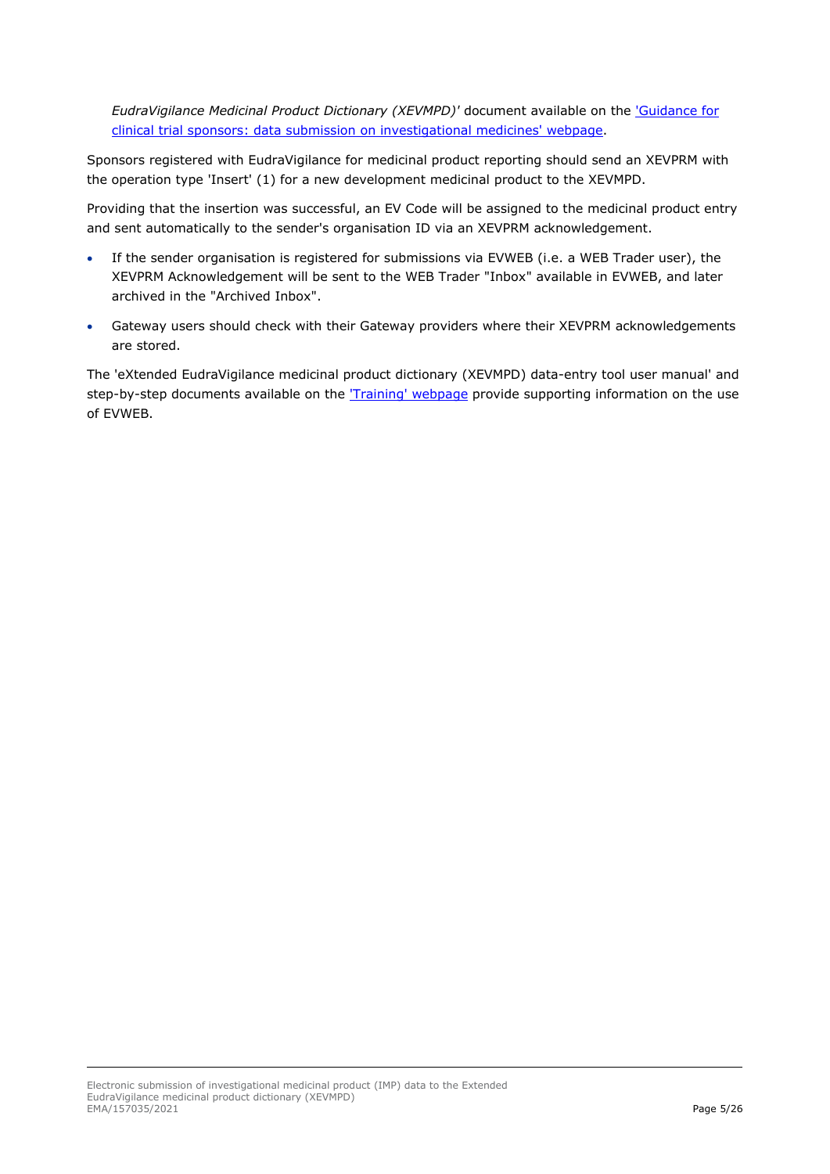*EudraVigilance Medicinal Product Dictionary (XEVMPD)'* document available on the ['Guidance for](https://www.ema.europa.eu/en/human-regulatory/research-development/clinical-trials/guidance-clinical-trial-sponsors-data-submission-investigational-medicines)  [clinical trial sponsors: data submission on investigational medicines' webpage.](https://www.ema.europa.eu/en/human-regulatory/research-development/clinical-trials/guidance-clinical-trial-sponsors-data-submission-investigational-medicines)

Sponsors registered with EudraVigilance for medicinal product reporting should send an XEVPRM with the operation type 'Insert' (1) for a new development medicinal product to the XEVMPD.

Providing that the insertion was successful, an EV Code will be assigned to the medicinal product entry and sent automatically to the sender's organisation ID via an XEVPRM acknowledgement.

- If the sender organisation is registered for submissions via EVWEB (i.e. a WEB Trader user), the XEVPRM Acknowledgement will be sent to the WEB Trader "Inbox" available in EVWEB, and later archived in the "Archived Inbox".
- Gateway users should check with their Gateway providers where their XEVPRM acknowledgements are stored.

The 'eXtended EudraVigilance medicinal product dictionary (XEVMPD) data-entry tool user manual' and step-by-step documents available on the ['Training' webpage](https://www.ema.europa.eu/en/human-regulatory/post-authorisation/data-medicines-iso-idmp-standards/extended-eudravigilance-medicinal-product-dictionary-xevmpd-training) provide supporting information on the use of EVWEB.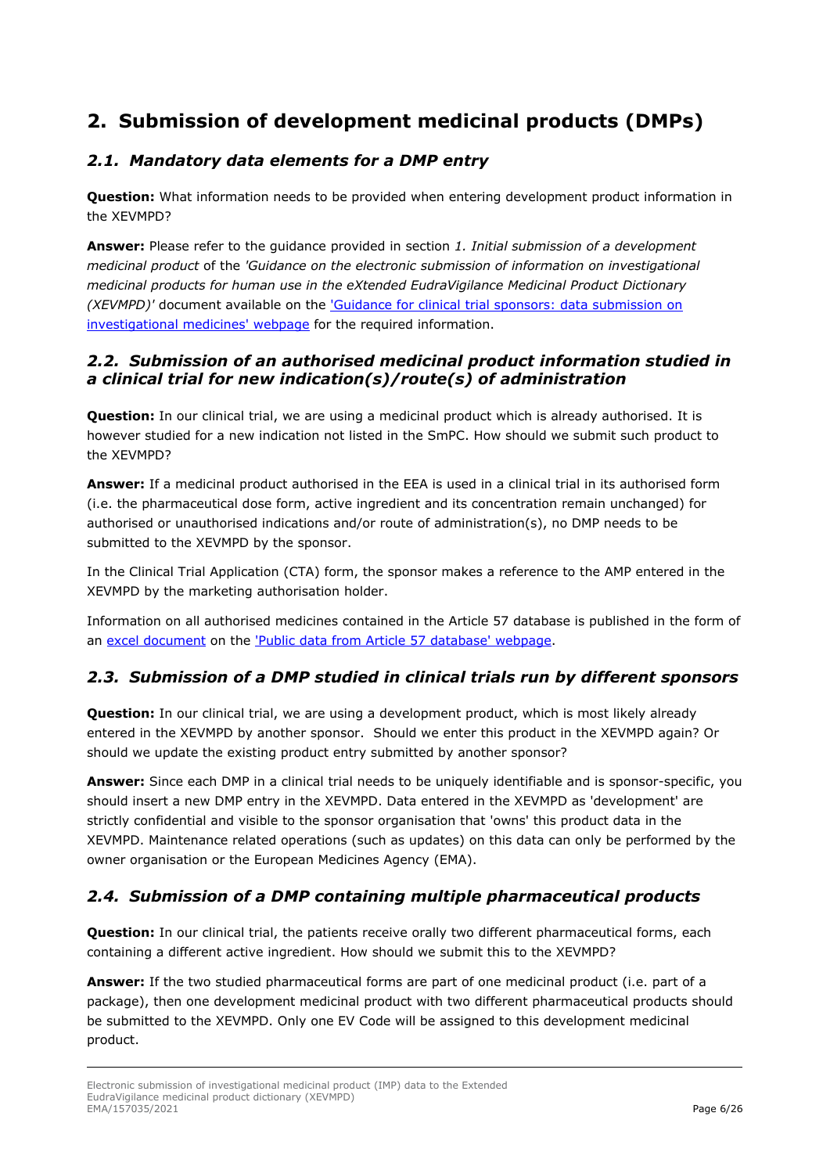# <span id="page-5-0"></span>**2. Submission of development medicinal products (DMPs)**

### <span id="page-5-1"></span>*2.1. Mandatory data elements for a DMP entry*

**Question:** What information needs to be provided when entering development product information in the XEVMPD?

**Answer:** Please refer to the guidance provided in section *1. Initial submission of a development medicinal product* of the *'Guidance on the electronic submission of information on investigational medicinal products for human use in the eXtended EudraVigilance Medicinal Product Dictionary (XEVMPD)'* document available on the ['Guidance for clinical trial sponsors: data submission on](https://www.ema.europa.eu/en/human-regulatory/research-development/clinical-trials/guidance-clinical-trial-sponsors-data-submission-investigational-medicines)  [investigational medicines' webpage](https://www.ema.europa.eu/en/human-regulatory/research-development/clinical-trials/guidance-clinical-trial-sponsors-data-submission-investigational-medicines) for the required information.

#### <span id="page-5-2"></span>*2.2. Submission of an authorised medicinal product information studied in a clinical trial for new indication(s)/route(s) of administration*

**Question:** In our clinical trial, we are using a medicinal product which is already authorised. It is however studied for a new indication not listed in the SmPC. How should we submit such product to the XEVMPD?

**Answer:** If a medicinal product authorised in the EEA is used in a clinical trial in its authorised form (i.e. the pharmaceutical dose form, active ingredient and its concentration remain unchanged) for authorised or unauthorised indications and/or route of administration(s), no DMP needs to be submitted to the XEVMPD by the sponsor.

In the Clinical Trial Application (CTA) form, the sponsor makes a reference to the AMP entered in the XEVMPD by the marketing authorisation holder.

Information on all authorised medicines contained in the Article 57 database is published in the form of an [excel document](https://www.ema.europa.eu/documents/other/article-57-product-data_en.xlsx) on the ['Public data from Article 57 database' webpage.](https://www.ema.europa.eu/en/human-regulatory/post-authorisation/data-medicines-iso-idmp-standards/public-data-article-57-database)

### <span id="page-5-3"></span>*2.3. Submission of a DMP studied in clinical trials run by different sponsors*

**Question:** In our clinical trial, we are using a development product, which is most likely already entered in the XEVMPD by another sponsor. Should we enter this product in the XEVMPD again? Or should we update the existing product entry submitted by another sponsor?

**Answer:** Since each DMP in a clinical trial needs to be uniquely identifiable and is sponsor-specific, you should insert a new DMP entry in the XEVMPD. Data entered in the XEVMPD as 'development' are strictly confidential and visible to the sponsor organisation that 'owns' this product data in the XEVMPD. Maintenance related operations (such as updates) on this data can only be performed by the owner organisation or the European Medicines Agency (EMA).

### <span id="page-5-4"></span>*2.4. Submission of a DMP containing multiple pharmaceutical products*

**Question:** In our clinical trial, the patients receive orally two different pharmaceutical forms, each containing a different active ingredient. How should we submit this to the XEVMPD?

**Answer:** If the two studied pharmaceutical forms are part of one medicinal product (i.e. part of a package), then one development medicinal product with two different pharmaceutical products should be submitted to the XEVMPD. Only one EV Code will be assigned to this development medicinal product.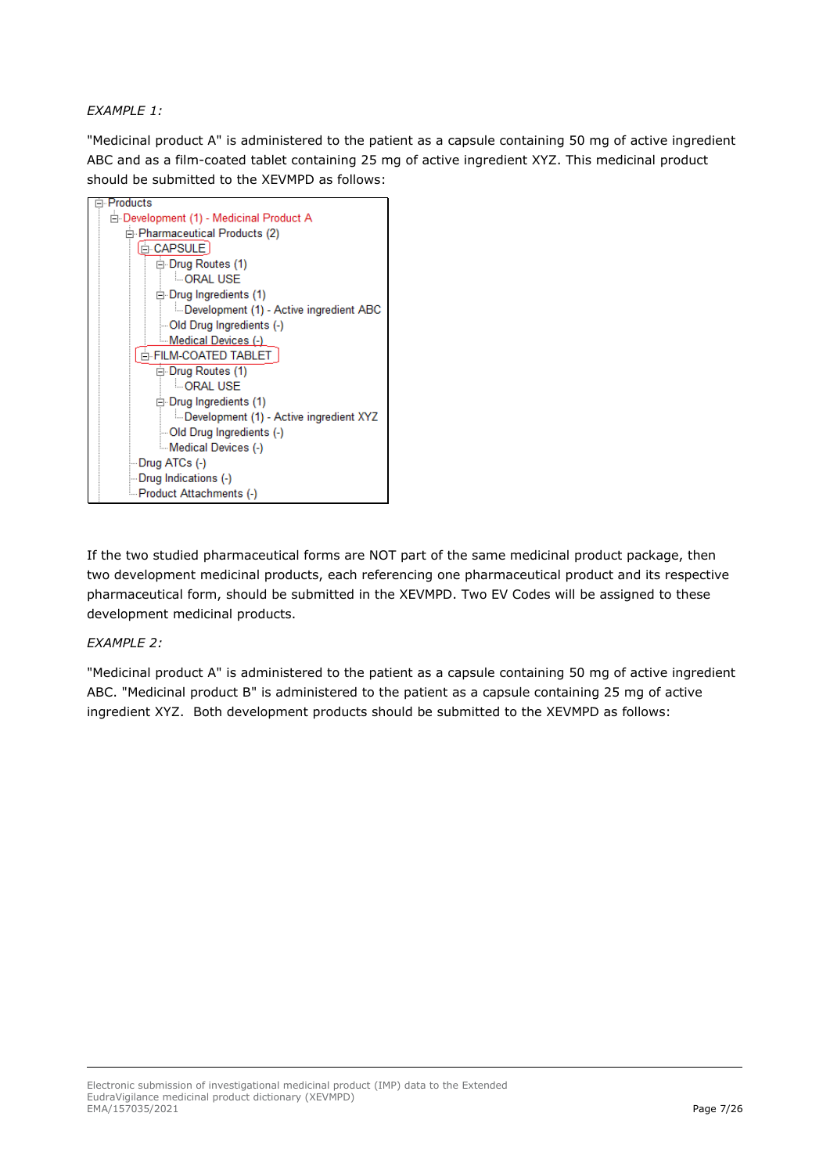#### *EXAMPLE 1:*

"Medicinal product A" is administered to the patient as a capsule containing 50 mg of active ingredient ABC and as a film-coated tablet containing 25 mg of active ingredient XYZ. This medicinal product should be submitted to the XEVMPD as follows:



If the two studied pharmaceutical forms are NOT part of the same medicinal product package, then two development medicinal products, each referencing one pharmaceutical product and its respective pharmaceutical form, should be submitted in the XEVMPD. Two EV Codes will be assigned to these development medicinal products.

#### *EXAMPLE 2:*

"Medicinal product A" is administered to the patient as a capsule containing 50 mg of active ingredient ABC. "Medicinal product B" is administered to the patient as a capsule containing 25 mg of active ingredient XYZ. Both development products should be submitted to the XEVMPD as follows: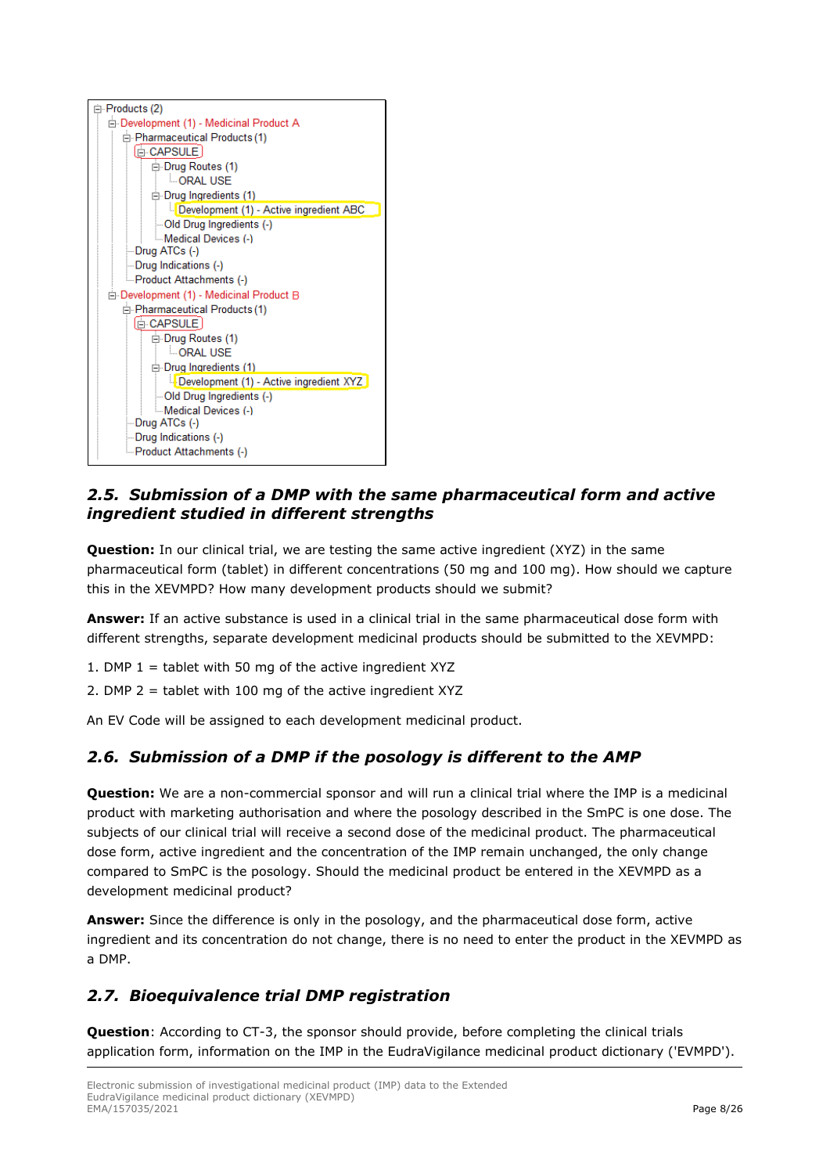

#### <span id="page-7-0"></span>*2.5. Submission of a DMP with the same pharmaceutical form and active ingredient studied in different strengths*

**Question:** In our clinical trial, we are testing the same active ingredient (XYZ) in the same pharmaceutical form (tablet) in different concentrations (50 mg and 100 mg). How should we capture this in the XEVMPD? How many development products should we submit?

**Answer:** If an active substance is used in a clinical trial in the same pharmaceutical dose form with different strengths, separate development medicinal products should be submitted to the XEVMPD:

- 1. DMP  $1 =$  tablet with 50 mg of the active ingredient XYZ
- 2. DMP 2 = tablet with 100 mg of the active ingredient XYZ

An EV Code will be assigned to each development medicinal product.

### <span id="page-7-1"></span>*2.6. Submission of a DMP if the posology is different to the AMP*

**Question:** We are a non-commercial sponsor and will run a clinical trial where the IMP is a medicinal product with marketing authorisation and where the posology described in the SmPC is one dose. The subjects of our clinical trial will receive a second dose of the medicinal product. The pharmaceutical dose form, active ingredient and the concentration of the IMP remain unchanged, the only change compared to SmPC is the posology. Should the medicinal product be entered in the XEVMPD as a development medicinal product?

**Answer:** Since the difference is only in the posology, and the pharmaceutical dose form, active ingredient and its concentration do not change, there is no need to enter the product in the XEVMPD as a DMP.

### <span id="page-7-2"></span>*2.7. Bioequivalence trial DMP registration*

**Question**: According to CT-3, the sponsor should provide, before completing the clinical trials application form, information on the IMP in the EudraVigilance medicinal product dictionary ('EVMPD').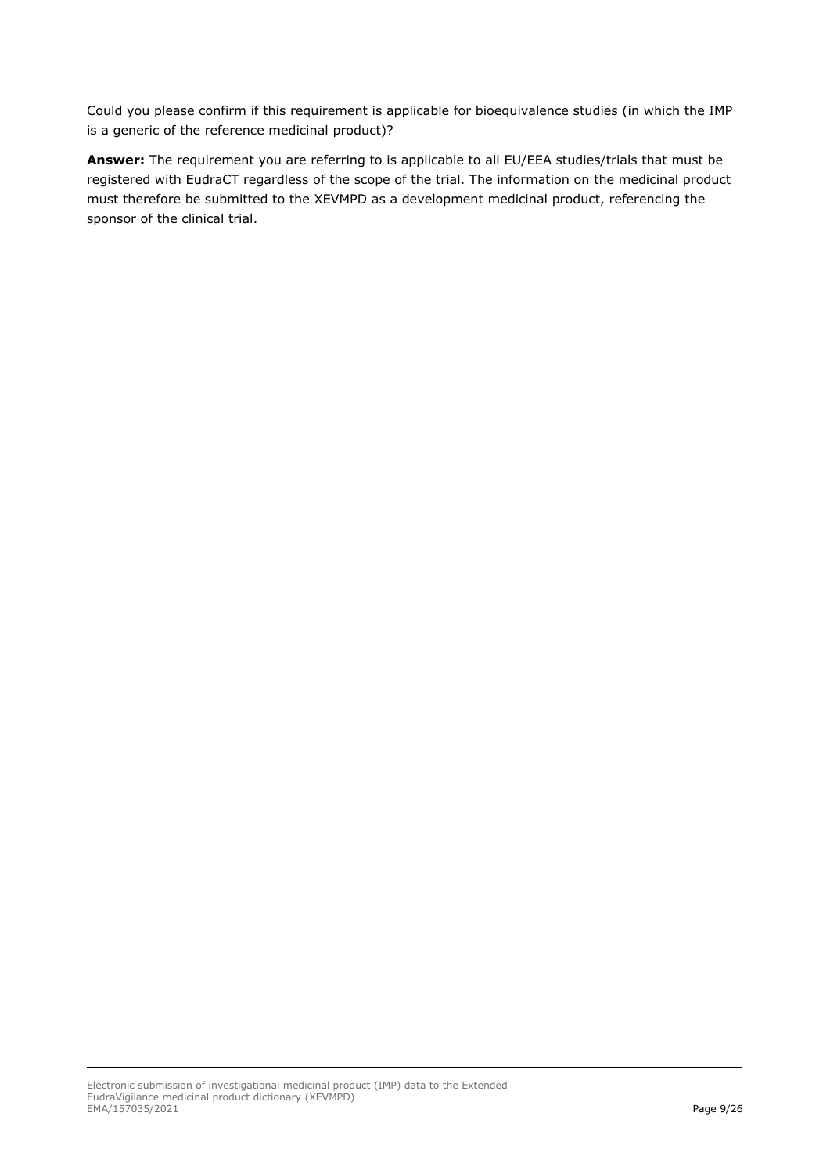Could you please confirm if this requirement is applicable for bioequivalence studies (in which the IMP is a generic of the reference medicinal product)?

**Answer:** The requirement you are referring to is applicable to all EU/EEA studies/trials that must be registered with EudraCT regardless of the scope of the trial. The information on the medicinal product must therefore be submitted to the XEVMPD as a development medicinal product, referencing the sponsor of the clinical trial.

Electronic submission of investigational medicinal product (IMP) data to the Extended EudraVigilance medicinal product dictionary (XEVMPD) EMA/157035/2021 Page 9/26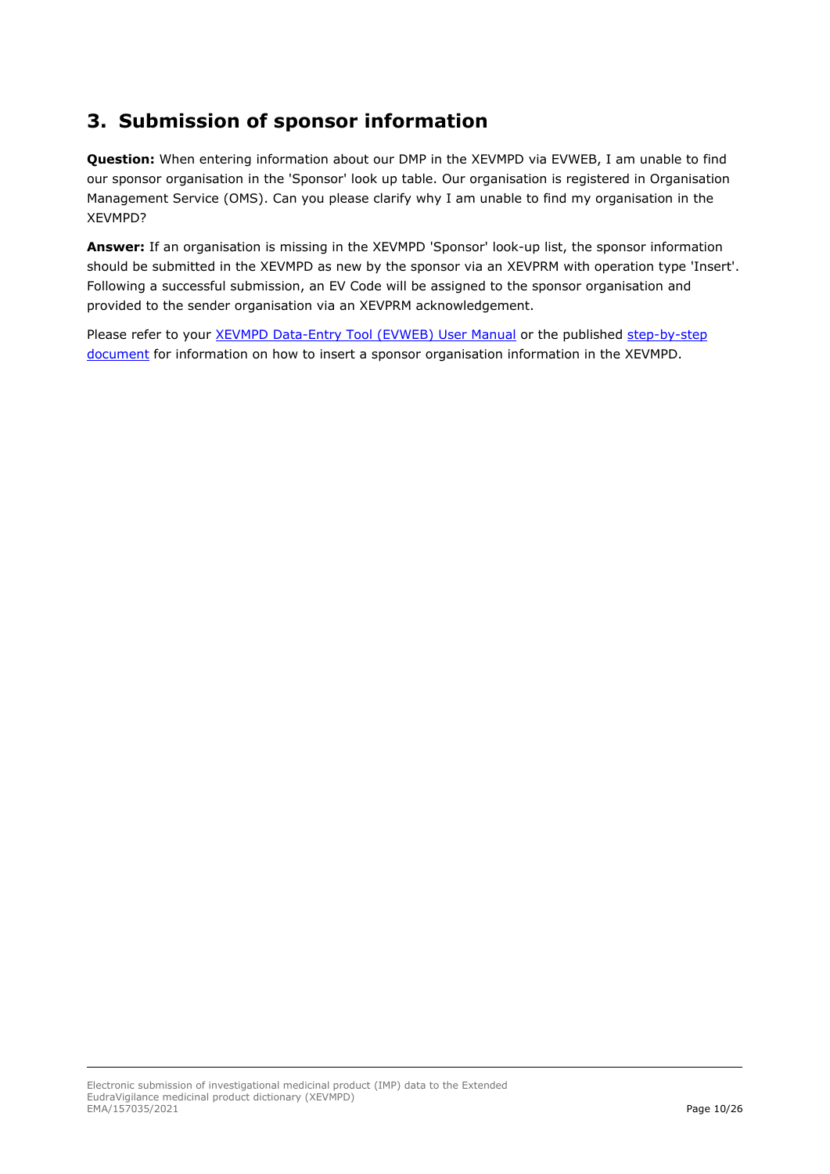# <span id="page-9-0"></span>**3. Submission of sponsor information**

**Question:** When entering information about our DMP in the XEVMPD via EVWEB, I am unable to find our sponsor organisation in the 'Sponsor' look up table. Our organisation is registered in Organisation Management Service (OMS). Can you please clarify why I am unable to find my organisation in the XEVMPD?

**Answer:** If an organisation is missing in the XEVMPD 'Sponsor' look-up list, the sponsor information should be submitted in the XEVMPD as new by the sponsor via an XEVPRM with operation type 'Insert'. Following a successful submission, an EV Code will be assigned to the sponsor organisation and provided to the sender organisation via an XEVPRM acknowledgement.

Please refer to your [XEVMPD Data-Entry Tool \(EVWEB\) User Manual](https://www.ema.europa.eu/en/documents/other/extended-eudravigilance-medicinal-product-dictionary-xevmpd-data-entry-tool-user-manual_en.pdf) or the published step-by-step [document](https://www.ema.europa.eu/en/documents/other/extended-eudravigilance-medicinal-product-report-message-step-step-guide-insert-organisation_en.pdf) for information on how to insert a sponsor organisation information in the XEVMPD.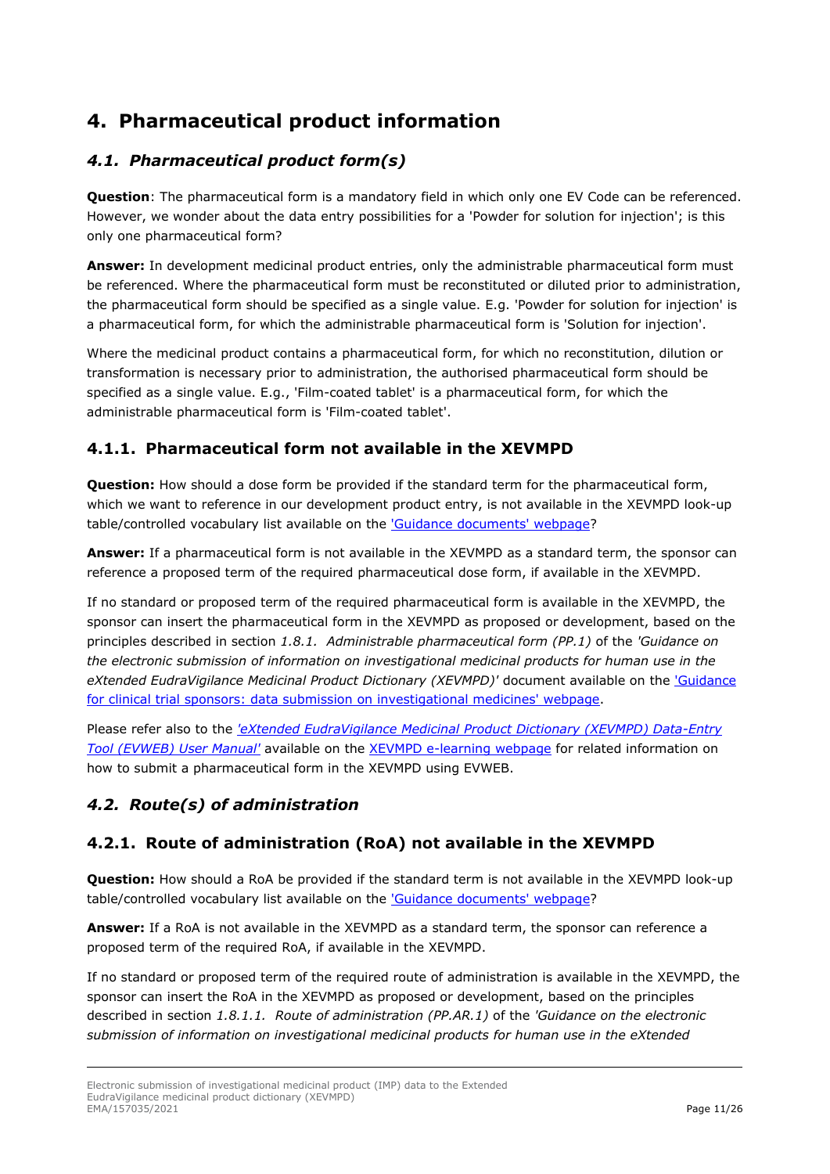# <span id="page-10-0"></span>**4. Pharmaceutical product information**

### <span id="page-10-1"></span>*4.1. Pharmaceutical product form(s)*

**Question**: The pharmaceutical form is a mandatory field in which only one EV Code can be referenced. However, we wonder about the data entry possibilities for a 'Powder for solution for injection'; is this only one pharmaceutical form?

**Answer:** In development medicinal product entries, only the administrable pharmaceutical form must be referenced. Where the pharmaceutical form must be reconstituted or diluted prior to administration, the pharmaceutical form should be specified as a single value. E.g. 'Powder for solution for injection' is a pharmaceutical form, for which the administrable pharmaceutical form is 'Solution for injection'.

Where the medicinal product contains a pharmaceutical form, for which no reconstitution, dilution or transformation is necessary prior to administration, the authorised pharmaceutical form should be specified as a single value. E.g., 'Film-coated tablet' is a pharmaceutical form, for which the administrable pharmaceutical form is 'Film-coated tablet'.

### <span id="page-10-2"></span>**4.1.1. Pharmaceutical form not available in the XEVMPD**

**Question:** How should a dose form be provided if the standard term for the pharmaceutical form, which we want to reference in our development product entry, is not available in the XEVMPD look-up table/controlled vocabulary list available on the ['Guidance documents' webpage?](http://www.ema.europa.eu/ema/index.jsp?curl=pages/regulation/document_listing/document_listing_000336.jsp&mid=WC0b01ac05804d8b2b&jsenabled=true)

**Answer:** If a pharmaceutical form is not available in the XEVMPD as a standard term, the sponsor can reference a proposed term of the required pharmaceutical dose form, if available in the XEVMPD.

If no standard or proposed term of the required pharmaceutical form is available in the XEVMPD, the sponsor can insert the pharmaceutical form in the XEVMPD as proposed or development, based on the principles described in section *1.8.1. Administrable pharmaceutical form (PP.1)* of the *'Guidance on the electronic submission of information on investigational medicinal products for human use in the eXtended EudraVigilance Medicinal Product Dictionary (XEVMPD)'* document available on the ['Guidance](https://www.ema.europa.eu/en/human-regulatory/research-development/clinical-trials/guidance-clinical-trial-sponsors-data-submission-investigational-medicines)  [for clinical trial sponsors: data submission on investigational medicines' webpage.](https://www.ema.europa.eu/en/human-regulatory/research-development/clinical-trials/guidance-clinical-trial-sponsors-data-submission-investigational-medicines)

Please refer also to the *['eXtended EudraVigilance Medicinal Product Dictionary \(XEVMPD\) Data-Entry](https://www.ema.europa.eu/en/documents/other/extended-eudravigilance-medicinal-product-dictionary-xevmpd-data-entry-tool-user-manual_en.pdf)  [Tool \(EVWEB\) User Manual'](https://www.ema.europa.eu/en/documents/other/extended-eudravigilance-medicinal-product-dictionary-xevmpd-data-entry-tool-user-manual_en.pdf)* available on the [XEVMPD e-learning webpage](http://eudravigilance.ema.europa.eu/human/training7.asp) for related information on how to submit a pharmaceutical form in the XEVMPD using EVWEB.

### <span id="page-10-3"></span>*4.2. Route(s) of administration*

#### <span id="page-10-4"></span>**4.2.1. Route of administration (RoA) not available in the XEVMPD**

**Question:** How should a RoA be provided if the standard term is not available in the XEVMPD look-up table/controlled vocabulary list available on the ['Guidance documents' webpage?](http://www.ema.europa.eu/ema/index.jsp?curl=pages/regulation/document_listing/document_listing_000336.jsp&mid=WC0b01ac05804d8b2b&jsenabled=true)

**Answer:** If a RoA is not available in the XEVMPD as a standard term, the sponsor can reference a proposed term of the required RoA, if available in the XEVMPD.

If no standard or proposed term of the required route of administration is available in the XEVMPD, the sponsor can insert the RoA in the XEVMPD as proposed or development, based on the principles described in section *1.8.1.1. Route of administration (PP.AR.1)* of the *'Guidance on the electronic submission of information on investigational medicinal products for human use in the eXtended*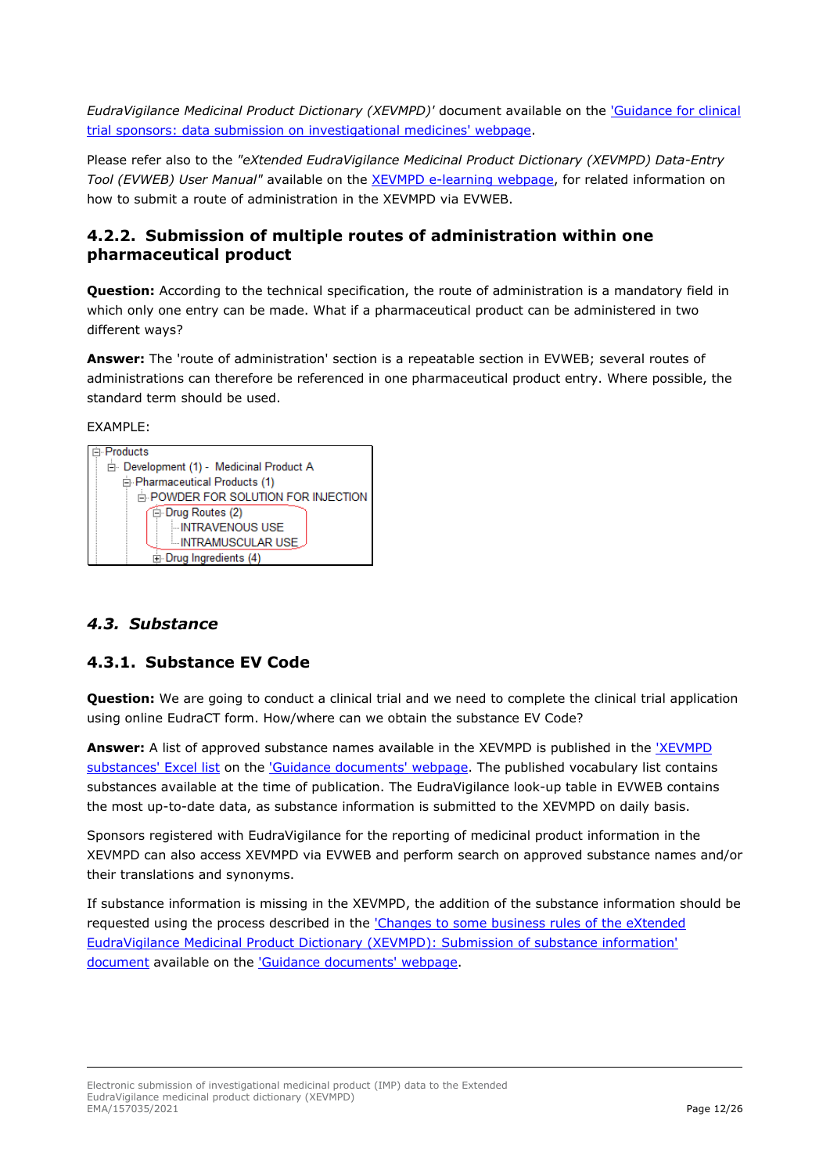*EudraVigilance Medicinal Product Dictionary (XEVMPD)'* document available on the ['Guidance for clinical](https://www.ema.europa.eu/en/human-regulatory/research-development/clinical-trials/guidance-clinical-trial-sponsors-data-submission-investigational-medicines)  [trial sponsors: data submission on investigational medicines' webpage.](https://www.ema.europa.eu/en/human-regulatory/research-development/clinical-trials/guidance-clinical-trial-sponsors-data-submission-investigational-medicines)

Please refer also to the *"eXtended EudraVigilance Medicinal Product Dictionary (XEVMPD) Data-Entry Tool (EVWEB) User Manual"* available on the [XEVMPD e-learning webpage,](http://eudravigilance.ema.europa.eu/human/training7.asp) for related information on how to submit a route of administration in the XEVMPD via EVWEB.

#### <span id="page-11-0"></span>**4.2.2. Submission of multiple routes of administration within one pharmaceutical product**

**Question:** According to the technical specification, the route of administration is a mandatory field in which only one entry can be made. What if a pharmaceutical product can be administered in two different ways?

**Answer:** The 'route of administration' section is a repeatable section in EVWEB; several routes of administrations can therefore be referenced in one pharmaceutical product entry. Where possible, the standard term should be used.

#### EXAMPLE:



#### <span id="page-11-1"></span>*4.3. Substance*

#### <span id="page-11-2"></span>**4.3.1. Substance EV Code**

**Question:** We are going to conduct a clinical trial and we need to complete the clinical trial application using online EudraCT form. How/where can we obtain the substance EV Code?

**Answer:** A list of approved substance names available in the XEVMPD is published in the ['XEVMPD](https://www.ema.europa.eu/documents/other/eudravigilance-extended-medicinal-product-dictionary-xevmpd-substances_en.xlsx)  [substances' Excel list](https://www.ema.europa.eu/documents/other/eudravigilance-extended-medicinal-product-dictionary-xevmpd-substances_en.xlsx) on the ['Guidance documents' webpage.](https://www.ema.europa.eu/en/human-regulatory/post-authorisation/data-medicines-iso-idmp-standards/reporting-requirements-authorised-medicines/guidance-documents#controlled-vocabularies-section) The published vocabulary list contains substances available at the time of publication. The EudraVigilance look-up table in EVWEB contains the most up-to-date data, as substance information is submitted to the XEVMPD on daily basis.

Sponsors registered with EudraVigilance for the reporting of medicinal product information in the XEVMPD can also access XEVMPD via EVWEB and perform search on approved substance names and/or their translations and synonyms.

If substance information is missing in the XEVMPD, the addition of the substance information should be requested using the process described in the ['Changes to some business rules of the eXtended](https://www.ema.europa.eu/en/documents/other/changes-some-business-rules-extended-eudravigilance-medicinal-product-dictionary-xevmpd-submission_en.pdf)  [EudraVigilance Medicinal Product Dictionary \(XEVMPD\): Submission of substance information'](https://www.ema.europa.eu/en/documents/other/changes-some-business-rules-extended-eudravigilance-medicinal-product-dictionary-xevmpd-submission_en.pdf)  [document](https://www.ema.europa.eu/en/documents/other/changes-some-business-rules-extended-eudravigilance-medicinal-product-dictionary-xevmpd-submission_en.pdf) available on the ['Guidance documents' webpage.](https://www.ema.europa.eu/en/human-regulatory/post-authorisation/data-medicines-iso-idmp-standards/reporting-requirements-authorised-medicines/guidance-documents#controlled-vocabularies-section)

Electronic submission of investigational medicinal product (IMP) data to the Extended EudraVigilance medicinal product dictionary (XEVMPD) EMA/157035/2021 **Page 12/26**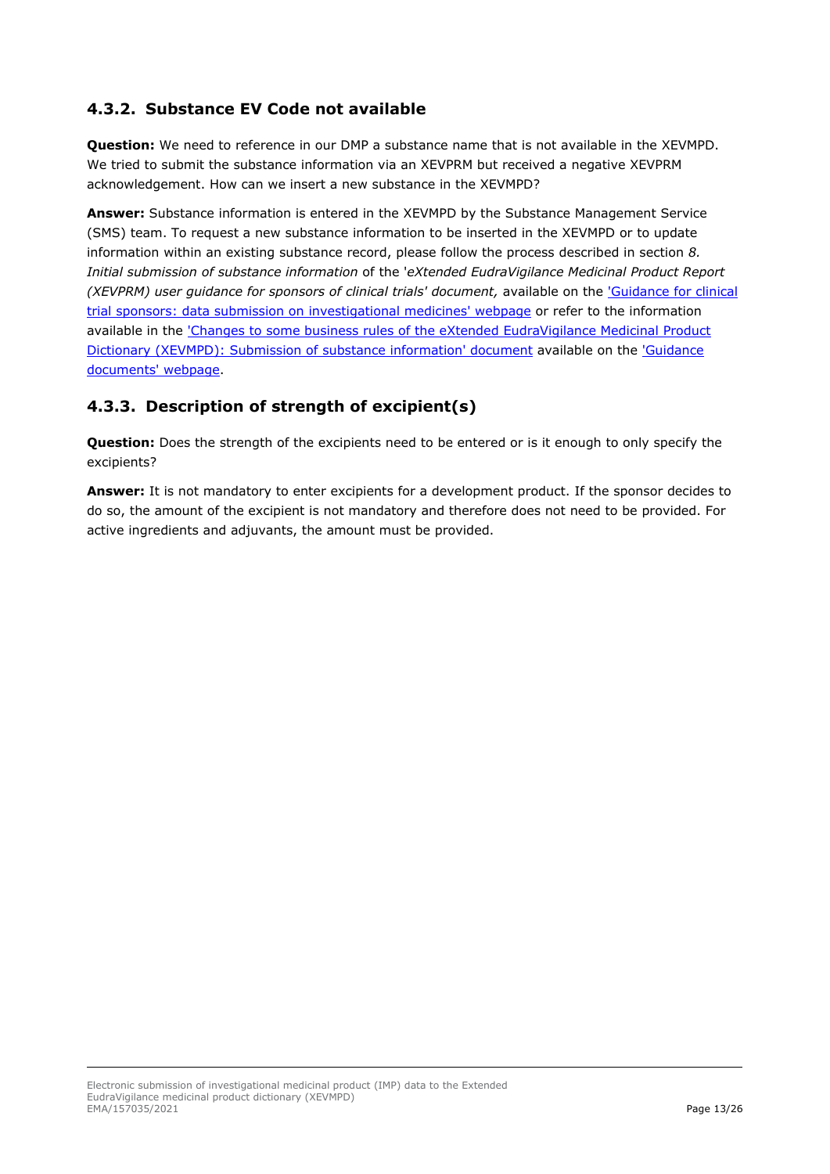### <span id="page-12-0"></span>**4.3.2. Substance EV Code not available**

**Question:** We need to reference in our DMP a substance name that is not available in the XEVMPD. We tried to submit the substance information via an XEVPRM but received a negative XEVPRM acknowledgement. How can we insert a new substance in the XEVMPD?

**Answer:** Substance information is entered in the XEVMPD by the Substance Management Service (SMS) team. To request a new substance information to be inserted in the XEVMPD or to update information within an existing substance record, please follow the process described in section *8. Initial submission of substance information* of the '*eXtended EudraVigilance Medicinal Product Report (XEVPRM) user guidance for sponsors of clinical trials' document, available on the 'Guidance for clinical* [trial sponsors: data submission on investigational medicines' webpage](https://www.ema.europa.eu/en/human-regulatory/research-development/clinical-trials/guidance-clinical-trial-sponsors-data-submission-investigational-medicines) or refer to the information available in the ['Changes to some business rules of the eXtended EudraVigilance Medicinal Product](https://www.ema.europa.eu/en/documents/other/changes-some-business-rules-extended-eudravigilance-medicinal-product-dictionary-xevmpd-submission_en.pdf)  [Dictionary \(XEVMPD\): Submission of substance information' document](https://www.ema.europa.eu/en/documents/other/changes-some-business-rules-extended-eudravigilance-medicinal-product-dictionary-xevmpd-submission_en.pdf) available on the ['Guidance](https://www.ema.europa.eu/en/human-regulatory/post-authorisation/data-medicines-iso-idmp-standards/reporting-requirements-authorised-medicines/guidance-documents#controlled-vocabularies-section)  [documents' webpage.](https://www.ema.europa.eu/en/human-regulatory/post-authorisation/data-medicines-iso-idmp-standards/reporting-requirements-authorised-medicines/guidance-documents#controlled-vocabularies-section)

#### <span id="page-12-1"></span>**4.3.3. Description of strength of excipient(s)**

**Question:** Does the strength of the excipients need to be entered or is it enough to only specify the excipients?

**Answer:** It is not mandatory to enter excipients for a development product. If the sponsor decides to do so, the amount of the excipient is not mandatory and therefore does not need to be provided. For active ingredients and adjuvants, the amount must be provided.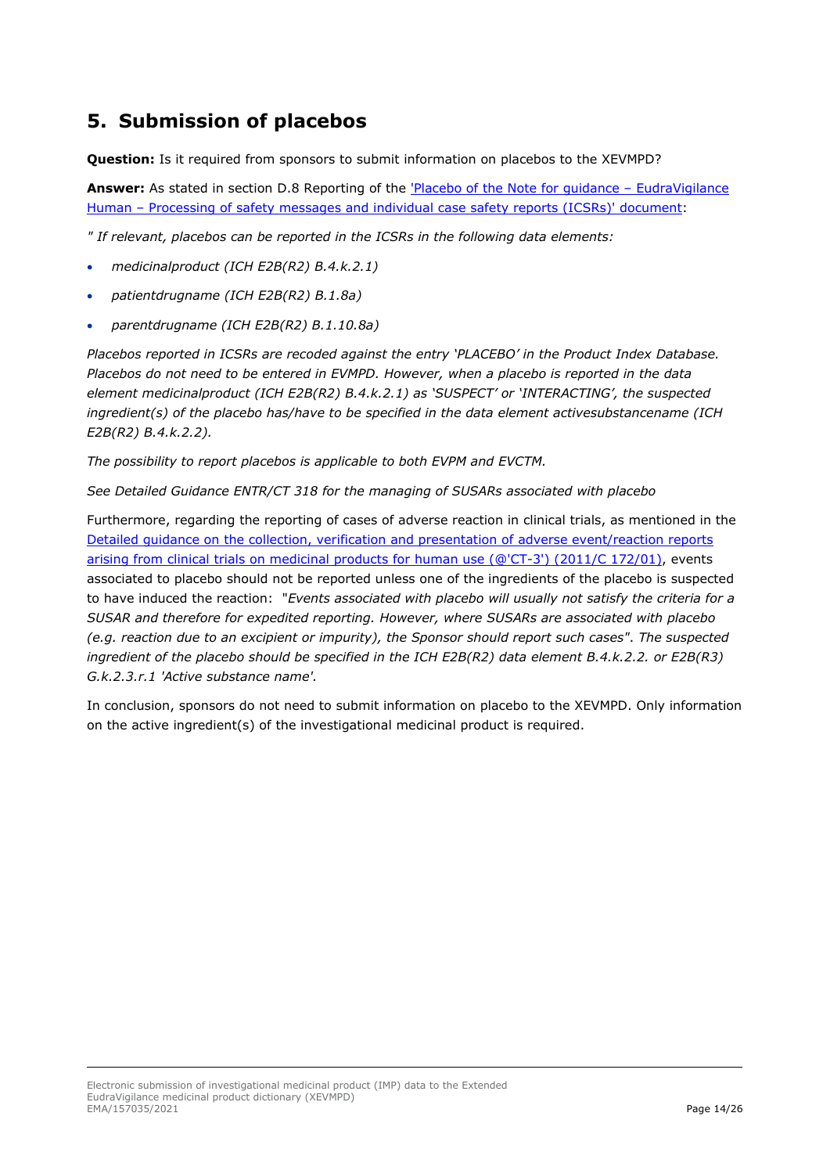# <span id="page-13-0"></span>**5. Submission of placebos**

**Question:** Is it required from sponsors to submit information on placebos to the XEVMPD?

**Answer:** As stated in section D.8 Reporting of the 'Placebo of the [Note for guidance –](https://www.ema.europa.eu/en/documents/regulatory-procedural-guideline/note-guidance-eudravigilance-human-processing-safety-messages-individual-case-safety-reports-icsrs_en.pdf) EudraVigilance Human – [Processing of safety messages and individual case safety reports \(ICSRs\)' document:](https://www.ema.europa.eu/en/documents/regulatory-procedural-guideline/note-guidance-eudravigilance-human-processing-safety-messages-individual-case-safety-reports-icsrs_en.pdf)

*" If relevant, placebos can be reported in the ICSRs in the following data elements:*

- *medicinalproduct (ICH E2B(R2) B.4.k.2.1)*
- *patientdrugname (ICH E2B(R2) B.1.8a)*
- *parentdrugname (ICH E2B(R2) B.1.10.8a)*

*Placebos reported in ICSRs are recoded against the entry 'PLACEBO' in the Product Index Database. Placebos do not need to be entered in EVMPD. However, when a placebo is reported in the data element medicinalproduct (ICH E2B(R2) B.4.k.2.1) as 'SUSPECT' or 'INTERACTING', the suspected ingredient(s) of the placebo has/have to be specified in the data element activesubstancename (ICH E2B(R2) B.4.k.2.2).*

*The possibility to report placebos is applicable to both EVPM and EVCTM.*

*See Detailed Guidance ENTR/CT 318 for the managing of SUSARs associated with placebo*

Furthermore, regarding the reporting of cases of adverse reaction in clinical trials, as mentioned in the [Detailed guidance on the collection, verification and presentation of adverse event/reaction reports](https://eur-lex.europa.eu/LexUriServ/LexUriServ.do?uri=OJ:C:2011:172:0001:0013:EN:PDF)  [arising from clinical trials on medicinal products for human use \(@'CT-3'\) \(2011/C 172/01\),](https://eur-lex.europa.eu/LexUriServ/LexUriServ.do?uri=OJ:C:2011:172:0001:0013:EN:PDF) events associated to placebo should not be reported unless one of the ingredients of the placebo is suspected to have induced the reaction: "*Events associated with placebo will usually not satisfy the criteria for a SUSAR and therefore for expedited reporting. However, where SUSARs are associated with placebo (e.g. reaction due to an excipient or impurity), the Sponsor should report such cases"*. *The suspected ingredient of the placebo should be specified in the ICH E2B(R2) data element B.4.k.2.2. or E2B(R3) G.k.2.3.r.1 'Active substance name'.*

In conclusion, sponsors do not need to submit information on placebo to the XEVMPD. Only information on the active ingredient(s) of the investigational medicinal product is required.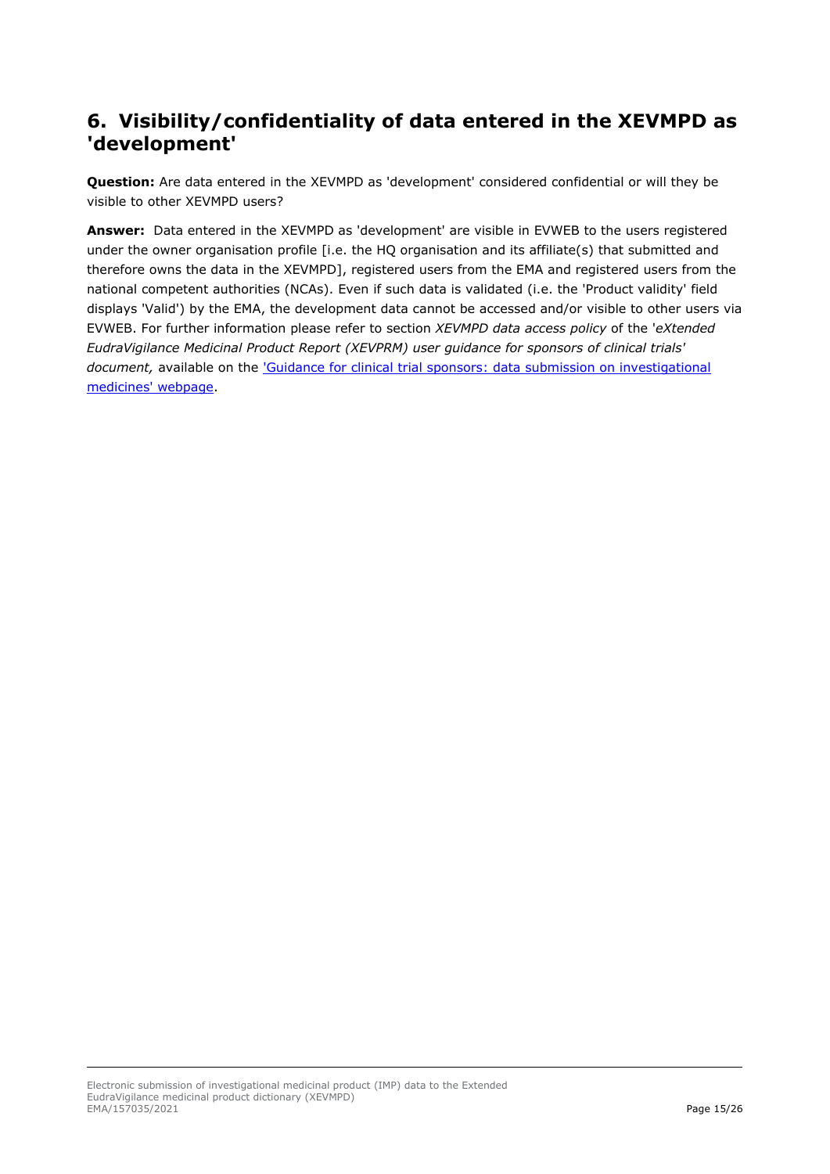## <span id="page-14-0"></span>**6. Visibility/confidentiality of data entered in the XEVMPD as 'development'**

**Question:** Are data entered in the XEVMPD as 'development' considered confidential or will they be visible to other XEVMPD users?

**Answer:** Data entered in the XEVMPD as 'development' are visible in EVWEB to the users registered under the owner organisation profile [i.e. the HQ organisation and its affiliate(s) that submitted and therefore owns the data in the XEVMPD], registered users from the EMA and registered users from the national competent authorities (NCAs). Even if such data is validated (i.e. the 'Product validity' field displays 'Valid') by the EMA, the development data cannot be accessed and/or visible to other users via EVWEB. For further information please refer to section *XEVMPD data access policy* of the '*eXtended EudraVigilance Medicinal Product Report (XEVPRM) user guidance for sponsors of clinical trials' document,* available on the ['Guidance for clinical trial sponsors: data submission on investigational](https://www.ema.europa.eu/en/human-regulatory/research-development/clinical-trials/guidance-clinical-trial-sponsors-data-submission-investigational-medicines)  [medicines' webpage.](https://www.ema.europa.eu/en/human-regulatory/research-development/clinical-trials/guidance-clinical-trial-sponsors-data-submission-investigational-medicines)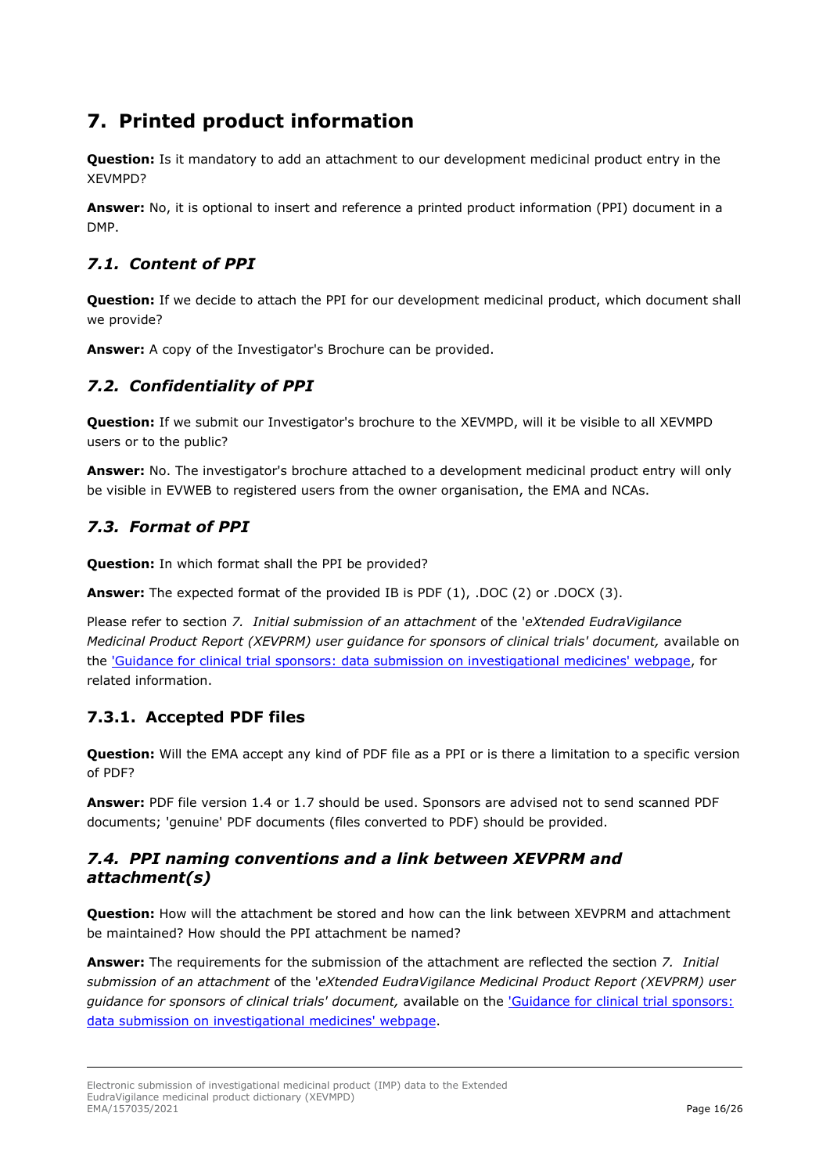# <span id="page-15-0"></span>**7. Printed product information**

**Question:** Is it mandatory to add an attachment to our development medicinal product entry in the XEVMPD?

**Answer:** No, it is optional to insert and reference a printed product information (PPI) document in a DMP.

#### <span id="page-15-1"></span>*7.1. Content of PPI*

**Question:** If we decide to attach the PPI for our development medicinal product, which document shall we provide?

**Answer:** A copy of the Investigator's Brochure can be provided.

#### <span id="page-15-2"></span>*7.2. Confidentiality of PPI*

**Question:** If we submit our Investigator's brochure to the XEVMPD, will it be visible to all XEVMPD users or to the public?

**Answer:** No. The investigator's brochure attached to a development medicinal product entry will only be visible in EVWEB to registered users from the owner organisation, the EMA and NCAs.

### <span id="page-15-3"></span>*7.3. Format of PPI*

**Question:** In which format shall the PPI be provided?

**Answer:** The expected format of the provided IB is PDF (1), .DOC (2) or .DOCX (3).

Please refer to section *7. Initial submission of an attachment* of the '*eXtended EudraVigilance Medicinal Product Report (XEVPRM) user guidance for sponsors of clinical trials' document,* available on the ['Guidance for clinical trial sponsors: data submission on investigational medicines' webpage,](https://www.ema.europa.eu/en/human-regulatory/research-development/clinical-trials/guidance-clinical-trial-sponsors-data-submission-investigational-medicines) for related information.

### <span id="page-15-4"></span>**7.3.1. Accepted PDF files**

**Question:** Will the EMA accept any kind of PDF file as a PPI or is there a limitation to a specific version of PDF?

**Answer:** PDF file version 1.4 or 1.7 should be used. Sponsors are advised not to send scanned PDF documents; 'genuine' PDF documents (files converted to PDF) should be provided.

#### <span id="page-15-5"></span>*7.4. PPI naming conventions and a link between XEVPRM and attachment(s)*

**Question:** How will the attachment be stored and how can the link between XEVPRM and attachment be maintained? How should the PPI attachment be named?

**Answer:** The requirements for the submission of the attachment are reflected the section *7. Initial submission of an attachment* of the '*eXtended EudraVigilance Medicinal Product Report (XEVPRM) user guidance for sponsors of clinical trials' document,* available on the ['Guidance for clinical trial sponsors:](https://www.ema.europa.eu/en/human-regulatory/research-development/clinical-trials/guidance-clinical-trial-sponsors-data-submission-investigational-medicines)  [data submission on investigational medicines' webpage.](https://www.ema.europa.eu/en/human-regulatory/research-development/clinical-trials/guidance-clinical-trial-sponsors-data-submission-investigational-medicines)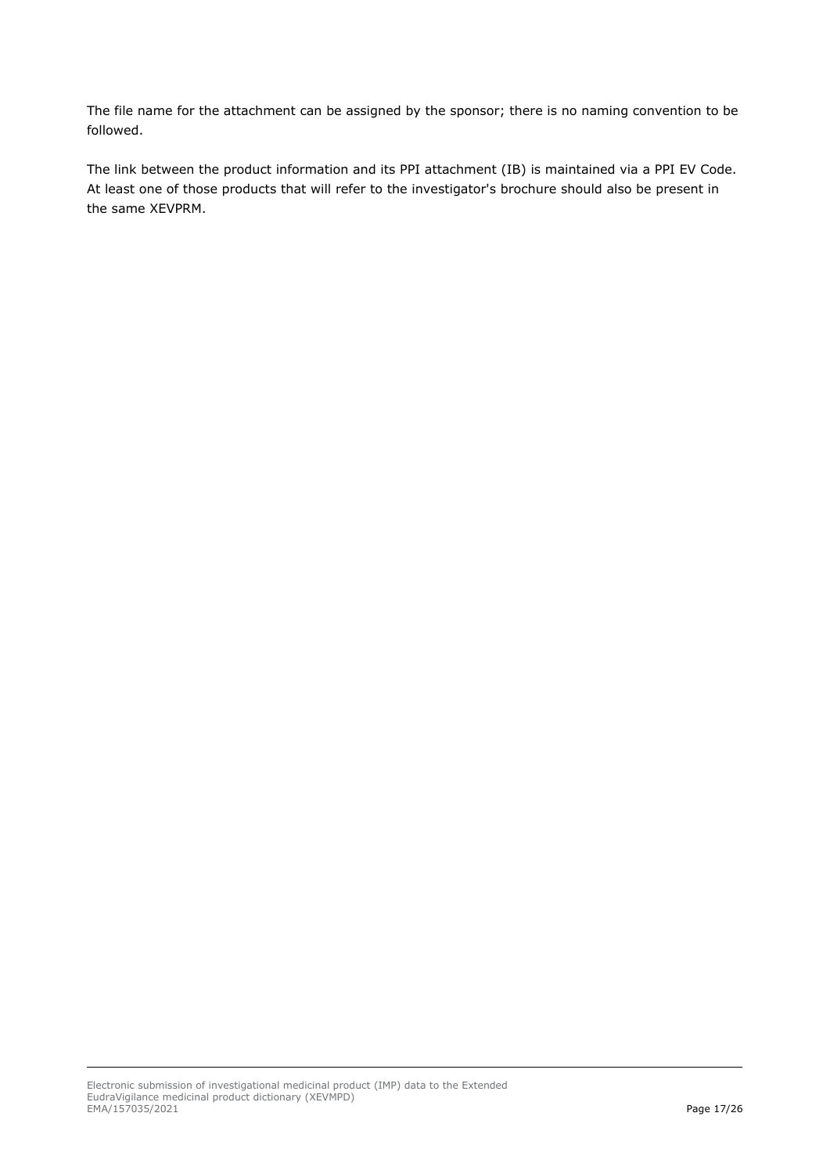The file name for the attachment can be assigned by the sponsor; there is no naming convention to be followed.

The link between the product information and its PPI attachment (IB) is maintained via a PPI EV Code. At least one of those products that will refer to the investigator's brochure should also be present in the same XEVPRM.

Electronic submission of investigational medicinal product (IMP) data to the Extended EudraVigilance medicinal product dictionary (XEVMPD) EMA/157035/2021 Page 17/26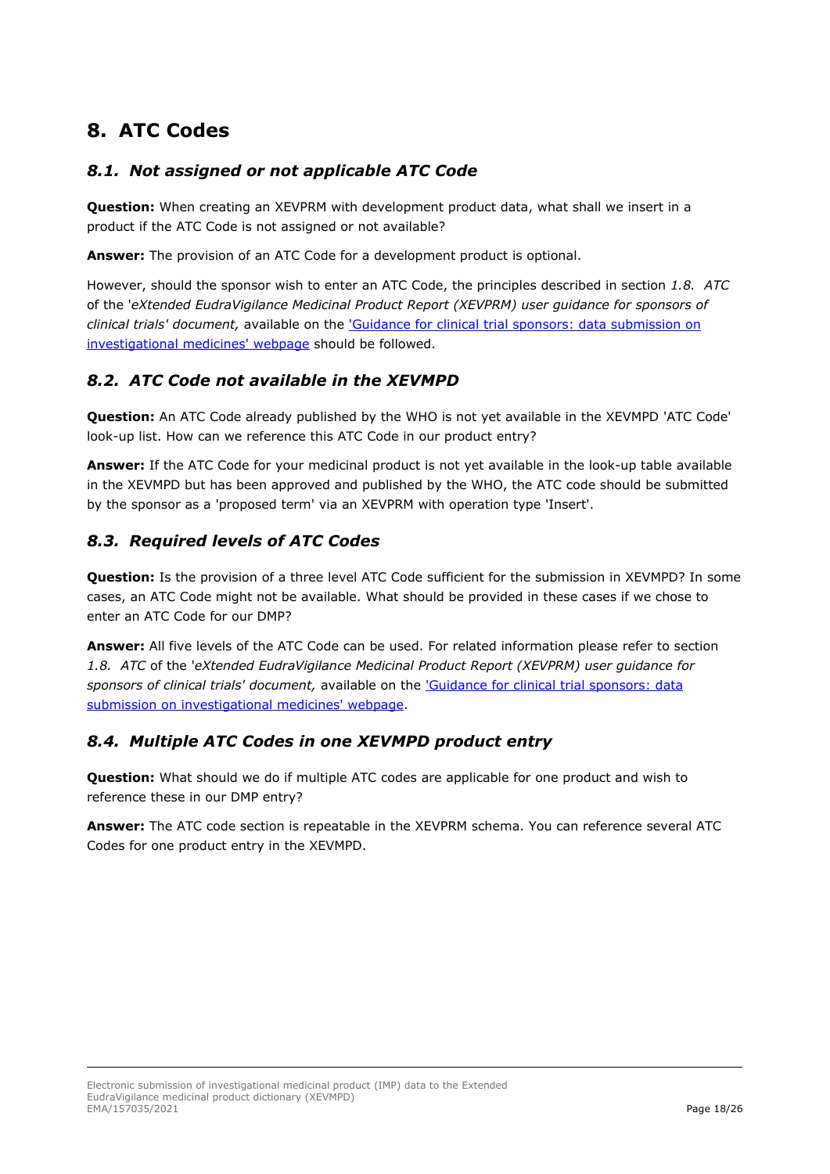# <span id="page-17-0"></span>**8. ATC Codes**

#### <span id="page-17-1"></span>*8.1. Not assigned or not applicable ATC Code*

**Question:** When creating an XEVPRM with development product data, what shall we insert in a product if the ATC Code is not assigned or not available?

**Answer:** The provision of an ATC Code for a development product is optional.

However, should the sponsor wish to enter an ATC Code, the principles described in section *1.8. ATC*  of the '*eXtended EudraVigilance Medicinal Product Report (XEVPRM) user guidance for sponsors of clinical trials' document,* available on the ['Guidance for clinical trial sponsors: data submission on](https://www.ema.europa.eu/en/human-regulatory/research-development/clinical-trials/guidance-clinical-trial-sponsors-data-submission-investigational-medicines)  [investigational medicines' webpage](https://www.ema.europa.eu/en/human-regulatory/research-development/clinical-trials/guidance-clinical-trial-sponsors-data-submission-investigational-medicines) should be followed.

#### <span id="page-17-2"></span>*8.2. ATC Code not available in the XEVMPD*

**Question:** An ATC Code already published by the WHO is not yet available in the XEVMPD 'ATC Code' look-up list. How can we reference this ATC Code in our product entry?

**Answer:** If the ATC Code for your medicinal product is not yet available in the look-up table available in the XEVMPD but has been approved and published by the WHO, the ATC code should be submitted by the sponsor as a 'proposed term' via an XEVPRM with operation type 'Insert'.

#### <span id="page-17-3"></span>*8.3. Required levels of ATC Codes*

**Question:** Is the provision of a three level ATC Code sufficient for the submission in XEVMPD? In some cases, an ATC Code might not be available. What should be provided in these cases if we chose to enter an ATC Code for our DMP?

**Answer:** All five levels of the ATC Code can be used. For related information please refer to section *1.8. ATC* of the '*eXtended EudraVigilance Medicinal Product Report (XEVPRM) user guidance for sponsors of clinical trials' document,* available on the ['Guidance for clinical trial sponsors: data](https://www.ema.europa.eu/en/human-regulatory/research-development/clinical-trials/guidance-clinical-trial-sponsors-data-submission-investigational-medicines)  [submission on investigational medicines' webpage.](https://www.ema.europa.eu/en/human-regulatory/research-development/clinical-trials/guidance-clinical-trial-sponsors-data-submission-investigational-medicines)

#### <span id="page-17-4"></span>*8.4. Multiple ATC Codes in one XEVMPD product entry*

**Question:** What should we do if multiple ATC codes are applicable for one product and wish to reference these in our DMP entry?

**Answer:** The ATC code section is repeatable in the XEVPRM schema. You can reference several ATC Codes for one product entry in the XEVMPD.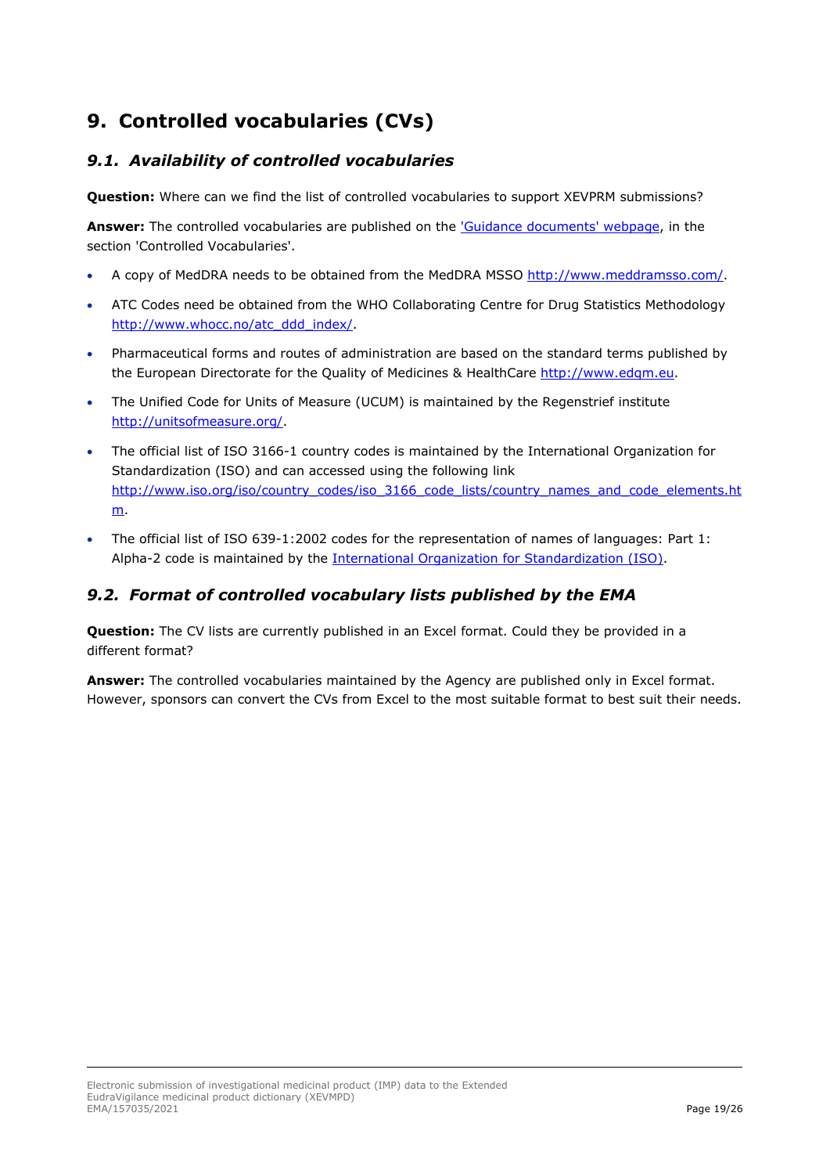# <span id="page-18-0"></span>**9. Controlled vocabularies (CVs)**

### <span id="page-18-1"></span>*9.1. Availability of controlled vocabularies*

**Question:** Where can we find the list of controlled vocabularies to support XEVPRM submissions?

**Answer:** The controlled vocabularies are published on the ['Guidance documents' webpage,](https://www.ema.europa.eu/en/human-regulatory/post-authorisation/data-medicines-iso-idmp-standards/reporting-requirements-authorised-medicines/guidance-documents#controlled-vocabularies-section) in the section 'Controlled Vocabularies'.

- A copy of MedDRA needs to be obtained from the MedDRA MSSO [http://www.meddramsso.com/.](http://www.meddramsso.com/)
- ATC Codes need be obtained from the WHO Collaborating Centre for Drug Statistics Methodology [http://www.whocc.no/atc\\_ddd\\_index/.](http://www.whocc.no/atc_ddd_index/)
- Pharmaceutical forms and routes of administration are based on the standard terms published by the European Directorate for the Quality of Medicines & HealthCare http://www.edgm.eu.
- The Unified Code for Units of Measure (UCUM) is maintained by the Regenstrief institute [http://unitsofmeasure.org/.](http://unitsofmeasure.org/)
- The official list of ISO 3166-1 country codes is maintained by the International Organization for Standardization (ISO) and can accessed using the following link [http://www.iso.org/iso/country\\_codes/iso\\_3166\\_code\\_lists/country\\_names\\_and\\_code\\_elements.ht](http://www.iso.org/iso/country_codes/iso_3166_code_lists/country_names_and_code_elements.htm) [m.](http://www.iso.org/iso/country_codes/iso_3166_code_lists/country_names_and_code_elements.htm)
- The official list of ISO 639-1:2002 codes for the representation of names of languages: Part 1: Alpha-2 code is maintained by the [International Organization for Standardization \(ISO\).](https://www.iso.org/standard/22109.html)

### <span id="page-18-2"></span>*9.2. Format of controlled vocabulary lists published by the EMA*

**Question:** The CV lists are currently published in an Excel format. Could they be provided in a different format?

**Answer:** The controlled vocabularies maintained by the Agency are published only in Excel format. However, sponsors can convert the CVs from Excel to the most suitable format to best suit their needs.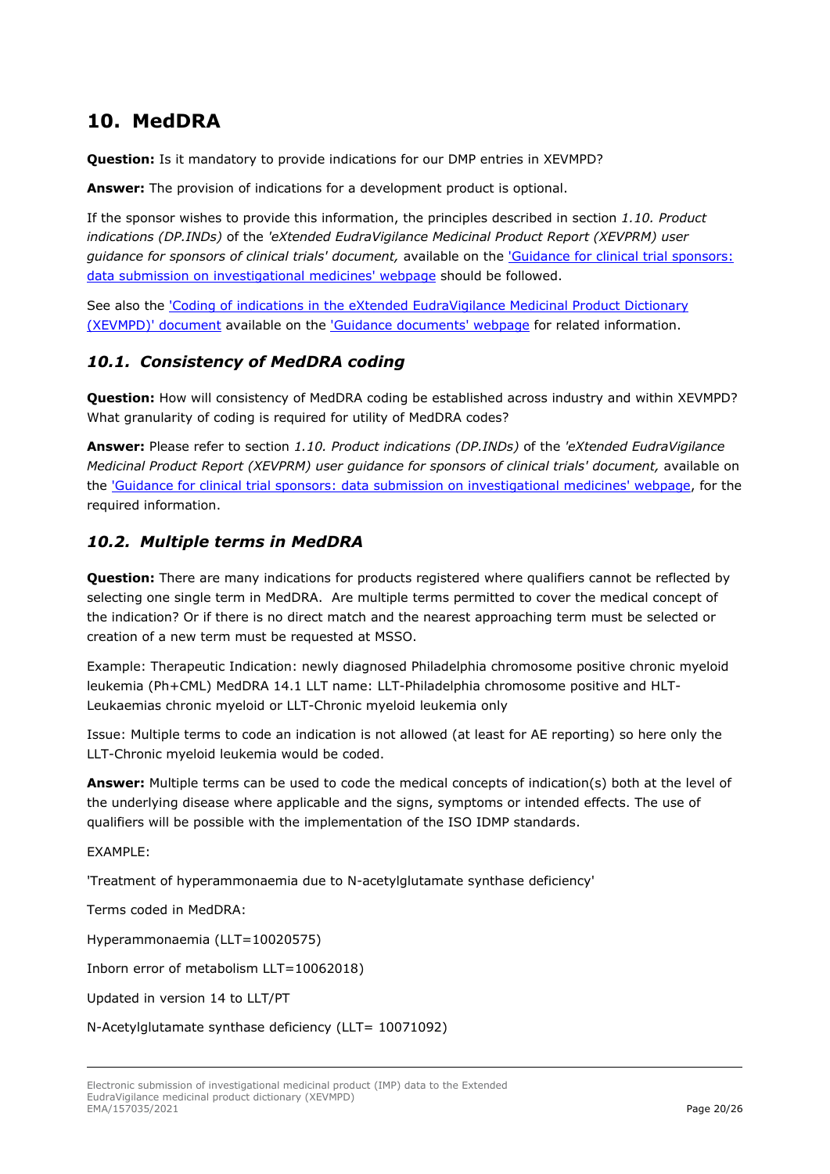## <span id="page-19-0"></span>**10. MedDRA**

**Question:** Is it mandatory to provide indications for our DMP entries in XEVMPD?

**Answer:** The provision of indications for a development product is optional.

If the sponsor wishes to provide this information, the principles described in section *1.10. Product indications (DP.INDs)* of the *'eXtended EudraVigilance Medicinal Product Report (XEVPRM) user guidance for sponsors of clinical trials' document,* available on the ['Guidance for clinical trial sponsors:](https://www.ema.europa.eu/en/human-regulatory/research-development/clinical-trials/guidance-clinical-trial-sponsors-data-submission-investigational-medicines)  [data submission on investigational medicines' webpage](https://www.ema.europa.eu/en/human-regulatory/research-development/clinical-trials/guidance-clinical-trial-sponsors-data-submission-investigational-medicines) should be followed.

See also the ['Coding of indications in the eXtended EudraVigilance Medicinal Product Dictionary](https://www.ema.europa.eu/en/documents/other/coding-indications-extended-eudravigilance-medicinal-product-dictionary-xevmpd_en.pdf)  [\(XEVMPD\)' document](https://www.ema.europa.eu/en/documents/other/coding-indications-extended-eudravigilance-medicinal-product-dictionary-xevmpd_en.pdf) available on the ['Guidance documents' webpage](https://www.ema.europa.eu/en/human-regulatory/post-authorisation/data-medicines-iso-idmp-standards/reporting-requirements-authorised-medicines/guidance-documents#controlled-vocabularies-section) for related information.

#### <span id="page-19-1"></span>*10.1. Consistency of MedDRA coding*

**Question:** How will consistency of MedDRA coding be established across industry and within XEVMPD? What granularity of coding is required for utility of MedDRA codes?

**Answer:** Please refer to section *1.10. Product indications (DP.INDs)* of the *'eXtended EudraVigilance Medicinal Product Report (XEVPRM) user guidance for sponsors of clinical trials' document,* available on the ['Guidance for clinical trial sponsors: data submission on investigational medicines' webpage,](https://www.ema.europa.eu/en/human-regulatory/research-development/clinical-trials/guidance-clinical-trial-sponsors-data-submission-investigational-medicines) for the required information.

#### <span id="page-19-2"></span>*10.2. Multiple terms in MedDRA*

**Question:** There are many indications for products registered where qualifiers cannot be reflected by selecting one single term in MedDRA. Are multiple terms permitted to cover the medical concept of the indication? Or if there is no direct match and the nearest approaching term must be selected or creation of a new term must be requested at MSSO.

Example: Therapeutic Indication: newly diagnosed Philadelphia chromosome positive chronic myeloid leukemia (Ph+CML) MedDRA 14.1 LLT name: LLT-Philadelphia chromosome positive and HLT-Leukaemias chronic myeloid or LLT-Chronic myeloid leukemia only

Issue: Multiple terms to code an indication is not allowed (at least for AE reporting) so here only the LLT-Chronic myeloid leukemia would be coded.

**Answer:** Multiple terms can be used to code the medical concepts of indication(s) both at the level of the underlying disease where applicable and the signs, symptoms or intended effects. The use of qualifiers will be possible with the implementation of the ISO IDMP standards.

#### EXAMPLE:

'Treatment of hyperammonaemia due to N-acetylglutamate synthase deficiency'

Terms coded in MedDRA:

Hyperammonaemia (LLT=10020575)

Inborn error of metabolism LLT=10062018)

Updated in version 14 to LLT/PT

N-Acetylglutamate synthase deficiency (LLT= 10071092)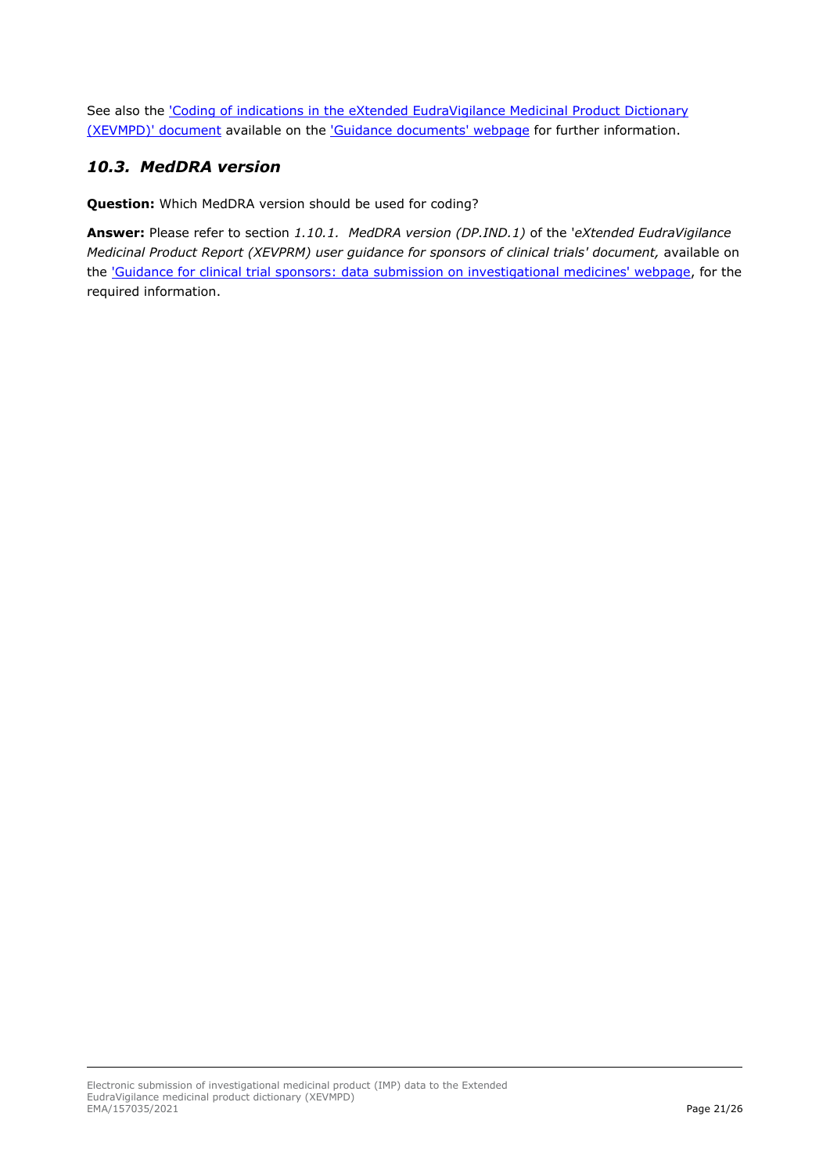See also the *'Coding of indications in the eXtended EudraVigilance Medicinal Product Dictionary* [\(XEVMPD\)' document](https://www.ema.europa.eu/en/documents/other/coding-indications-extended-eudravigilance-medicinal-product-dictionary-xevmpd_en.pdf) available on the ['Guidance documents' webpage](https://www.ema.europa.eu/en/human-regulatory/post-authorisation/data-medicines-iso-idmp-standards/reporting-requirements-authorised-medicines/guidance-documents#controlled-vocabularies-section) for further information.

#### <span id="page-20-0"></span>*10.3. MedDRA version*

**Question:** Which MedDRA version should be used for coding?

**Answer:** Please refer to section *1.10.1. MedDRA version (DP.IND.1)* of the '*eXtended EudraVigilance Medicinal Product Report (XEVPRM) user guidance for sponsors of clinical trials' document, available on* the ['Guidance for clinical trial sponsors: data submission on investigational medicines' webpage,](https://www.ema.europa.eu/en/human-regulatory/research-development/clinical-trials/guidance-clinical-trial-sponsors-data-submission-investigational-medicines) for the required information.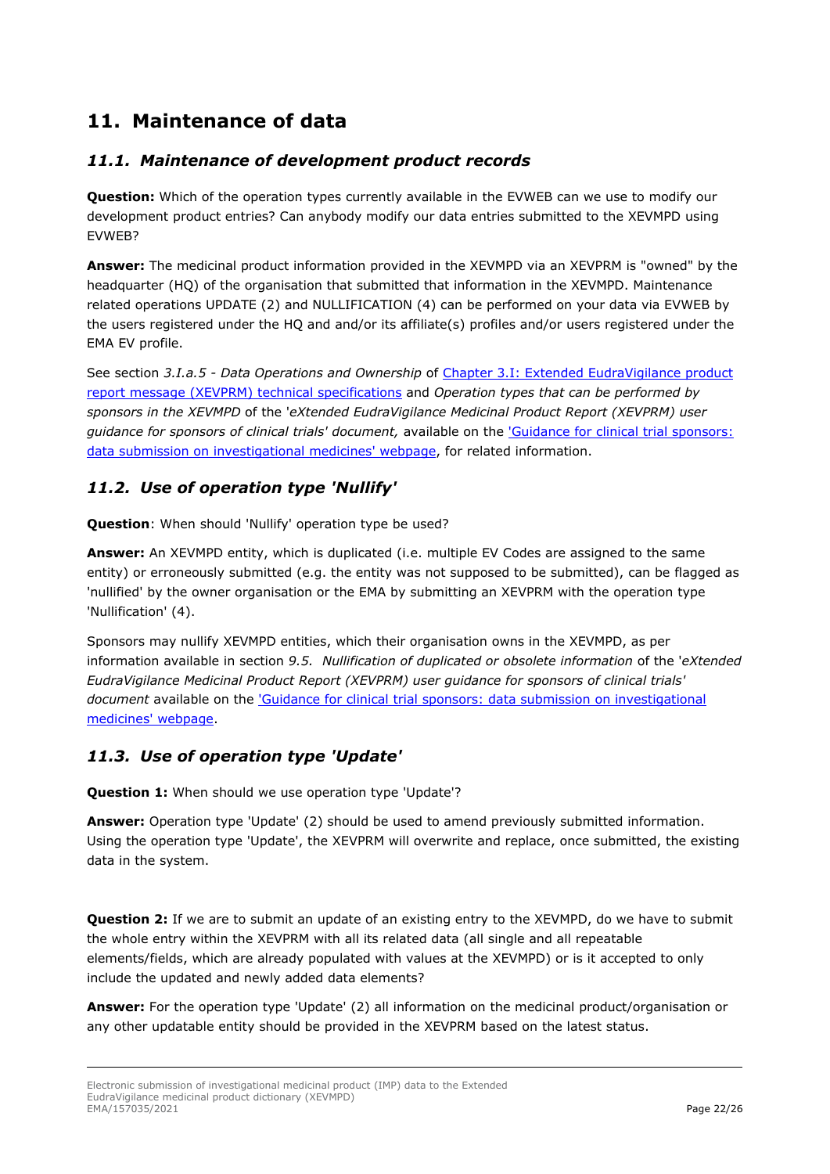# <span id="page-21-0"></span>**11. Maintenance of data**

### <span id="page-21-1"></span>*11.1. Maintenance of development product records*

**Question:** Which of the operation types currently available in the EVWEB can we use to modify our development product entries? Can anybody modify our data entries submitted to the XEVMPD using EVWEB?

**Answer:** The medicinal product information provided in the XEVMPD via an XEVPRM is "owned" by the headquarter (HQ) of the organisation that submitted that information in the XEVMPD. Maintenance related operations UPDATE (2) and NULLIFICATION (4) can be performed on your data via EVWEB by the users registered under the HQ and and/or its affiliate(s) profiles and/or users registered under the EMA EV profile.

See section *3.I.a.5 - Data Operations and Ownership* of [Chapter 3.I: Extended EudraVigilance product](https://www.ema.europa.eu/en/documents/other/chapter-3i-technical-specifications-detailed-guidance-electronic-submission-information-medicinal_en.pdf)  [report message \(XEVPRM\) technical specifications](https://www.ema.europa.eu/en/documents/other/chapter-3i-technical-specifications-detailed-guidance-electronic-submission-information-medicinal_en.pdf) and *Operation types that can be performed by sponsors in the XEVMPD* of the '*eXtended EudraVigilance Medicinal Product Report (XEVPRM) user guidance for sponsors of clinical trials' document,* available on the ['Guidance for clinical trial sponsors:](https://www.ema.europa.eu/en/human-regulatory/research-development/clinical-trials/guidance-clinical-trial-sponsors-data-submission-investigational-medicines)  [data submission on investigational medicines' webpage,](https://www.ema.europa.eu/en/human-regulatory/research-development/clinical-trials/guidance-clinical-trial-sponsors-data-submission-investigational-medicines) for related information.

#### <span id="page-21-2"></span>*11.2. Use of operation type 'Nullify'*

**Question**: When should 'Nullify' operation type be used?

**Answer:** An XEVMPD entity, which is duplicated (i.e. multiple EV Codes are assigned to the same entity) or erroneously submitted (e.g. the entity was not supposed to be submitted), can be flagged as 'nullified' by the owner organisation or the EMA by submitting an XEVPRM with the operation type 'Nullification' (4).

Sponsors may nullify XEVMPD entities, which their organisation owns in the XEVMPD, as per information available in section *9.5. Nullification of duplicated or obsolete information* of the '*eXtended EudraVigilance Medicinal Product Report (XEVPRM) user guidance for sponsors of clinical trials' document* available on the ['Guidance for clinical trial sponsors: data submission on investigational](https://www.ema.europa.eu/en/human-regulatory/research-development/clinical-trials/guidance-clinical-trial-sponsors-data-submission-investigational-medicines)  [medicines' webpage.](https://www.ema.europa.eu/en/human-regulatory/research-development/clinical-trials/guidance-clinical-trial-sponsors-data-submission-investigational-medicines)

#### <span id="page-21-3"></span>*11.3. Use of operation type 'Update'*

**Question 1:** When should we use operation type 'Update'?

**Answer:** Operation type 'Update' (2) should be used to amend previously submitted information. Using the operation type 'Update', the XEVPRM will overwrite and replace, once submitted, the existing data in the system.

**Question 2:** If we are to submit an update of an existing entry to the XEVMPD, do we have to submit the whole entry within the XEVPRM with all its related data (all single and all repeatable elements/fields, which are already populated with values at the XEVMPD) or is it accepted to only include the updated and newly added data elements?

**Answer:** For the operation type 'Update' (2) all information on the medicinal product/organisation or any other updatable entity should be provided in the XEVPRM based on the latest status.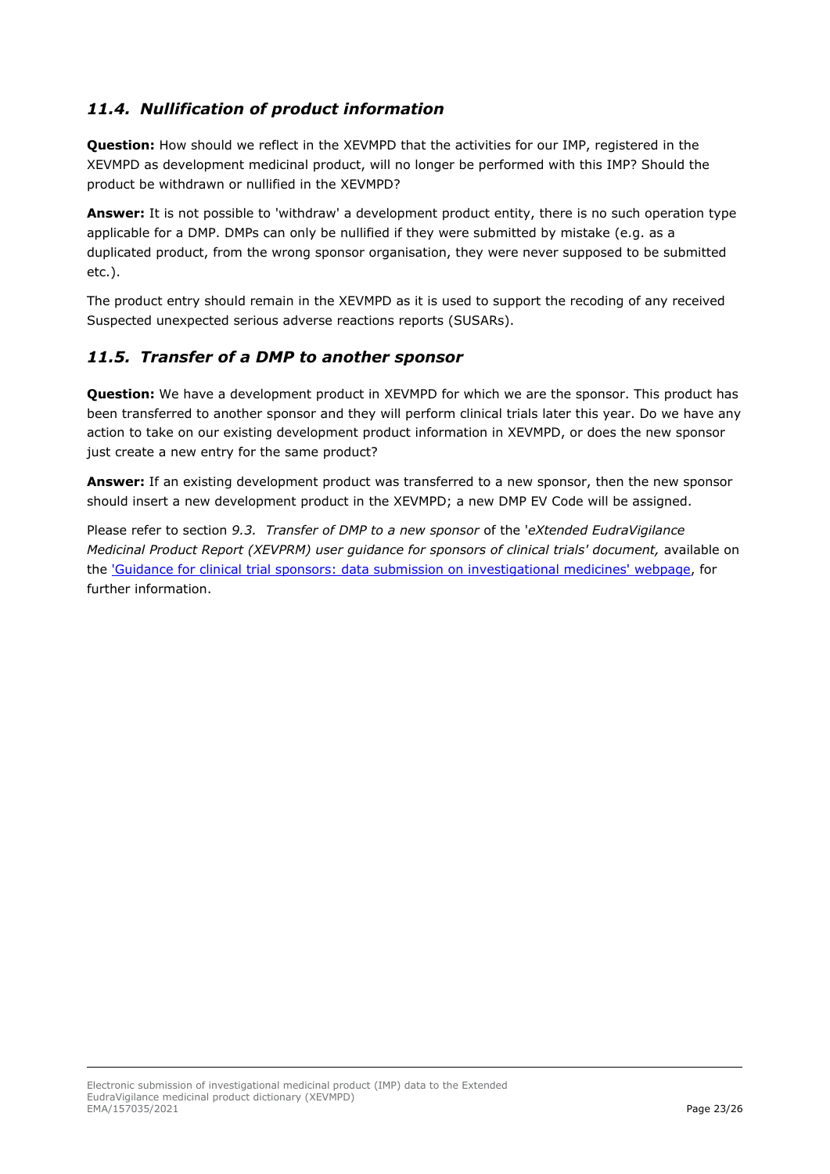### <span id="page-22-0"></span>*11.4. Nullification of product information*

**Question:** How should we reflect in the XEVMPD that the activities for our IMP, registered in the XEVMPD as development medicinal product, will no longer be performed with this IMP? Should the product be withdrawn or nullified in the XEVMPD?

**Answer:** It is not possible to 'withdraw' a development product entity, there is no such operation type applicable for a DMP. DMPs can only be nullified if they were submitted by mistake (e.g. as a duplicated product, from the wrong sponsor organisation, they were never supposed to be submitted etc.).

The product entry should remain in the XEVMPD as it is used to support the recoding of any received Suspected unexpected serious adverse reactions reports (SUSARs).

#### <span id="page-22-1"></span>*11.5. Transfer of a DMP to another sponsor*

**Question:** We have a development product in XEVMPD for which we are the sponsor. This product has been transferred to another sponsor and they will perform clinical trials later this year. Do we have any action to take on our existing development product information in XEVMPD, or does the new sponsor just create a new entry for the same product?

**Answer:** If an existing development product was transferred to a new sponsor, then the new sponsor should insert a new development product in the XEVMPD; a new DMP EV Code will be assigned.

Please refer to section *9.3. Transfer of DMP to a new sponsor* of the '*eXtended EudraVigilance Medicinal Product Report (XEVPRM) user guidance for sponsors of clinical trials' document, available on* the ['Guidance for clinical trial sponsors: data submission on investigational medicines'](https://www.ema.europa.eu/en/human-regulatory/research-development/clinical-trials/guidance-clinical-trial-sponsors-data-submission-investigational-medicines) webpage, for further information.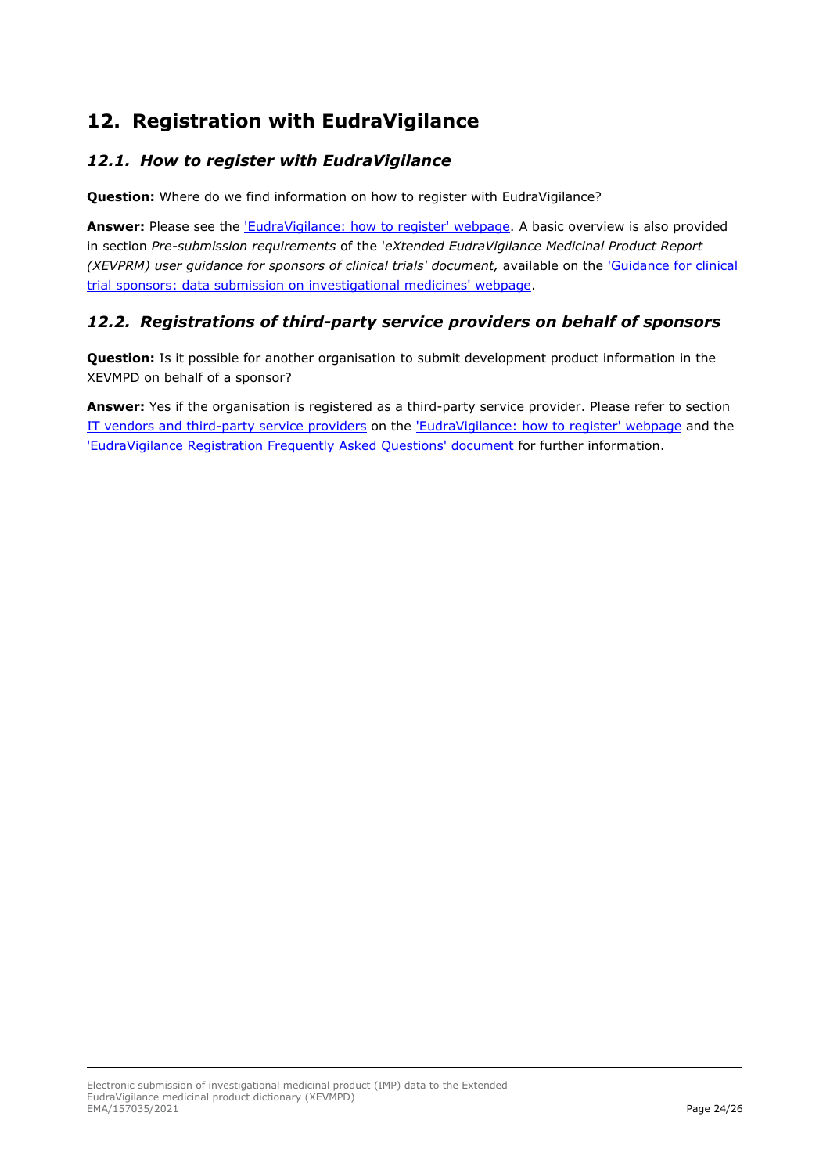# <span id="page-23-0"></span>**12. Registration with EudraVigilance**

### <span id="page-23-1"></span>*12.1. How to register with EudraVigilance*

Question: Where do we find information on how to register with EudraVigilance?

**Answer:** Please see the ['EudraVigilance: how to register' webpage.](https://www.ema.europa.eu/en/human-regulatory/research-development/pharmacovigilance/eudravigilance/eudravigilance-how-register) A basic overview is also provided in section *Pre-submission requirements* of the '*eXtended EudraVigilance Medicinal Product Report (XEVPRM) user guidance for sponsors of clinical trials' document, available on the 'Guidance for clinical* [trial sponsors: data submission on investigational medicines' webpage.](https://www.ema.europa.eu/en/human-regulatory/research-development/clinical-trials/guidance-clinical-trial-sponsors-data-submission-investigational-medicines)

### <span id="page-23-2"></span>*12.2. Registrations of third-party service providers on behalf of sponsors*

**Question:** Is it possible for another organisation to submit development product information in the XEVMPD on behalf of a sponsor?

**Answer:** Yes if the organisation is registered as a third-party service provider. Please refer to section [IT vendors and third-party service providers](https://www.ema.europa.eu/en/human-regulatory/research-development/pharmacovigilance/eudravigilance/eudravigilance-how-register#it-vendors-and-third-party-service-providers-section) on the ['EudraVigilance: how to register' webpage](https://www.ema.europa.eu/en/human-regulatory/research-development/pharmacovigilance/eudravigilance/eudravigilance-how-register) and the ['EudraVigilance Registration Frequently Asked Questions' document](https://www.ema.europa.eu/en/documents/regulatory-procedural-guideline/eudravigilance-registration-frequently-asked-questions_en.pdf) for further information.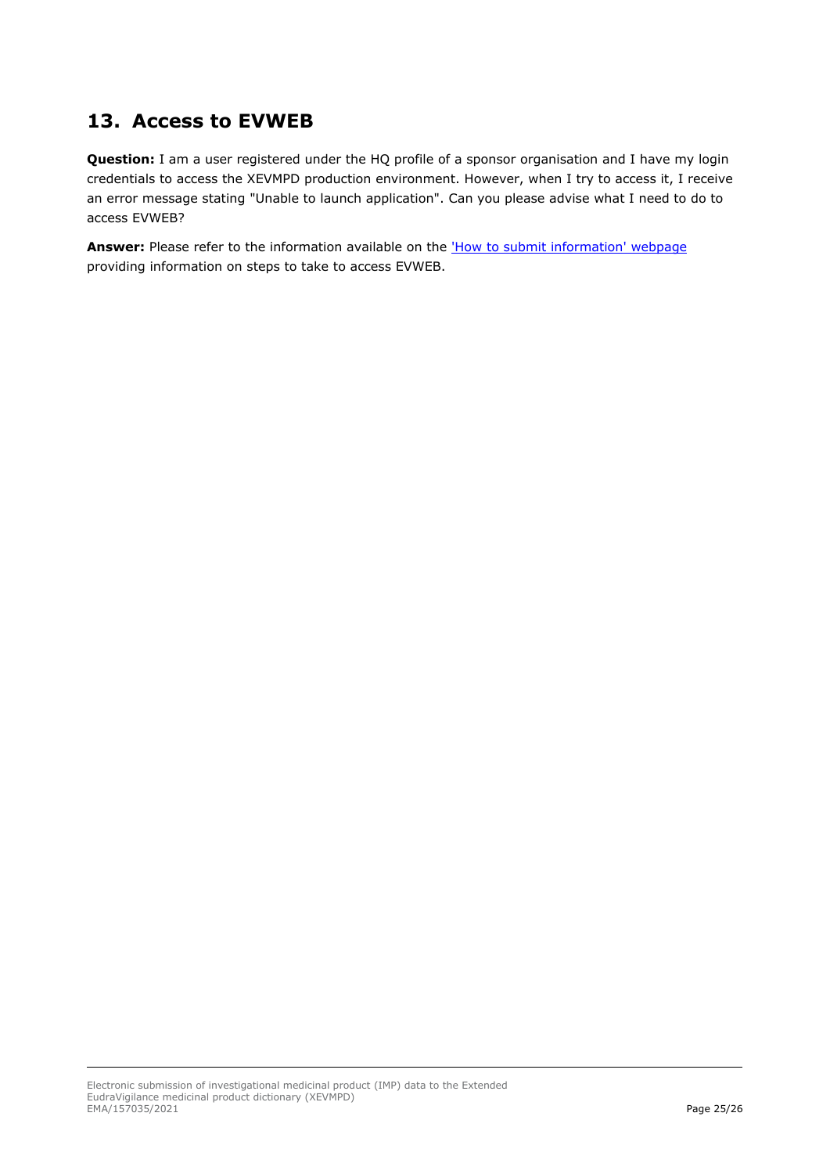# <span id="page-24-0"></span>**13. Access to EVWEB**

**Question:** I am a user registered under the HQ profile of a sponsor organisation and I have my login credentials to access the XEVMPD production environment. However, when I try to access it, I receive an error message stating "Unable to launch application". Can you please advise what I need to do to access EVWEB?

Answer: Please refer to the information available on the ['How to submit information' webpage](https://www.ema.europa.eu/en/human-regulatory/post-authorisation/data-medicines-iso-idmp-standards/reporting-requirements-authorised-medicines/how-submit-information) providing information on steps to take to access EVWEB.